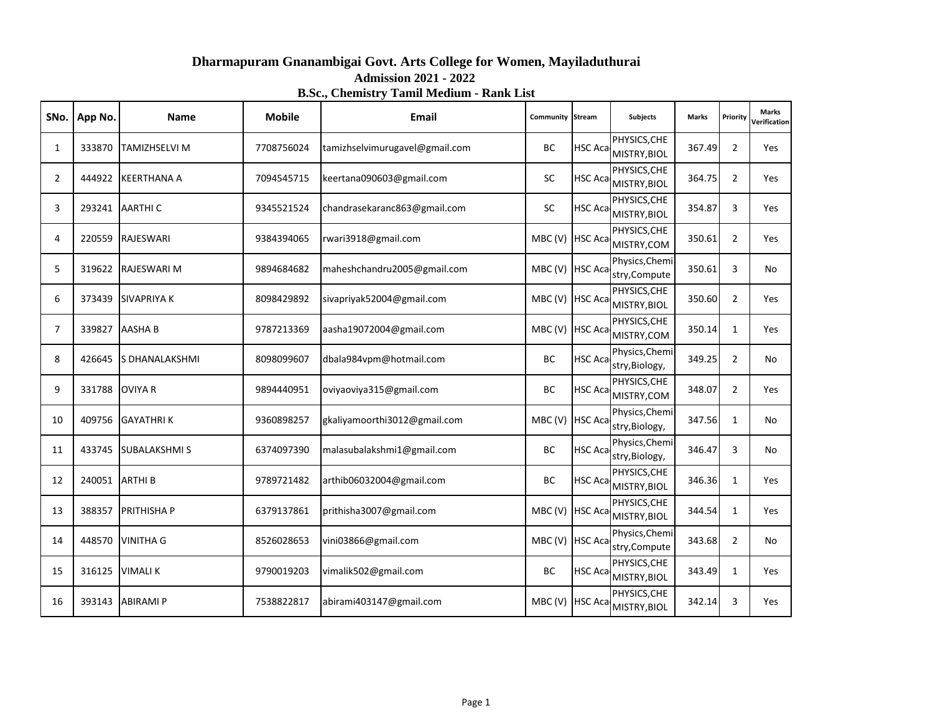| Dharmapuram Gnanambigai Govt. Arts College for Women, Mayiladuthurai |
|----------------------------------------------------------------------|
| <b>Admission 2021 - 2022</b>                                         |
| <b>B.Sc., Chemistry Tamil Medium - Rank List</b>                     |

| SNo.           | App No. | <b>Name</b>          | <b>Mobile</b> | <b>Email</b>                   | Community Stream |                | <b>Subjects</b>                               | <b>Marks</b> | Priority       | <b>Marks</b><br>Verification |
|----------------|---------|----------------------|---------------|--------------------------------|------------------|----------------|-----------------------------------------------|--------------|----------------|------------------------------|
| 1              | 333870  | <b>TAMIZHSELVI M</b> | 7708756024    | tamizhselvimurugavel@gmail.com | BC               |                | PHYSICS, CHE<br>HSC Aca MISTRY, BIOL          | 367.49       | $\overline{2}$ | Yes                          |
| $\overline{2}$ | 444922  | <b>KEERTHANA A</b>   | 7094545715    | keertana090603@gmail.com       | SC               |                | PHYSICS, CHE<br>HSC Aca MISTRY, BIOL          | 364.75       | $\overline{2}$ | Yes                          |
| 3              | 293241  | <b>AARTHIC</b>       | 9345521524    | chandrasekaranc863@gmail.com   | <b>SC</b>        | <b>HSC Aca</b> | PHYSICS, CHE<br>MISTRY, BIOL                  | 354.87       | 3              | Yes                          |
| 4              | 220559  | <b>RAJESWARI</b>     | 9384394065    | rwari3918@gmail.com            | MBC (V)          | <b>HSC Aca</b> | PHYSICS, CHE<br>MISTRY, COM                   | 350.61       | $\overline{2}$ | Yes                          |
| 5              | 319622  | <b>RAJESWARI M</b>   | 9894684682    | maheshchandru2005@gmail.com    | MBC (V)          | <b>HSC Aca</b> | Physics, Chemi<br>stry, Compute               | 350.61       | 3              | No                           |
| 6              | 373439  | <b>SIVAPRIYA K</b>   | 8098429892    | sivapriyak52004@gmail.com      | MBC(V)           |                | PHYSICS, CHE<br>HSC Aca MISTRY, BIOL          | 350.60       | $\overline{2}$ | Yes                          |
| 7              | 339827  | <b>AASHAB</b>        | 9787213369    | aasha19072004@gmail.com        |                  |                | PHYSICS, CHE<br>MBC (V)   HSC Aca MISTRY, COM | 350.14       | $\mathbf{1}$   | Yes                          |
| 8              | 426645  | S DHANALAKSHMI       | 8098099607    | dbala984vpm@hotmail.com        | <b>BC</b>        | <b>HSC Aca</b> | Physics, Chemi<br>stry, Biology,              | 349.25       | $\overline{2}$ | No                           |
| 9              | 331788  | <b>OVIYA R</b>       | 9894440951    | oviyaoviya315@gmail.com        | <b>BC</b>        | <b>HSC Aca</b> | PHYSICS, CHE<br>MISTRY, COM                   | 348.07       | $\overline{2}$ | Yes                          |
| 10             | 409756  | <b>GAYATHRIK</b>     | 9360898257    | gkaliyamoorthi3012@gmail.com   | MBC(V)           | <b>HSC Aca</b> | Physics, Chemi<br>stry, Biology,              | 347.56       | $\mathbf{1}$   | No                           |
| 11             | 433745  | <b>SUBALAKSHMI S</b> | 6374097390    | malasubalakshmi1@gmail.com     | BC               | <b>HSC Aca</b> | Physics, Chemi<br>stry, Biology,              | 346.47       | 3              | No                           |
| 12             | 240051  | <b>ARTHIB</b>        | 9789721482    | arthib06032004@gmail.com       | <b>BC</b>        |                | PHYSICS, CHE<br>HSC Aca MISTRY, BIOL          | 346.36       | 1              | Yes                          |
| 13             | 388357  | <b>PRITHISHAP</b>    | 6379137861    | prithisha3007@gmail.com        | MBC(V)           |                | PHYSICS, CHE<br>HSC Aca MISTRY, BIOL          | 344.54       | $\mathbf{1}$   | Yes                          |
| 14             | 448570  | <b>VINITHA G</b>     | 8526028653    | vini03866@gmail.com            | MBC (V) HSC Aca  |                | Physics, Chemi<br>stry, Compute               | 343.68       | $\overline{2}$ | No                           |
| 15             | 316125  | <b>VIMALIK</b>       | 9790019203    | vimalik502@gmail.com           | BC               |                | PHYSICS, CHE<br>HSC Aca MISTRY, BIOL          | 343.49       | $\mathbf{1}$   | Yes                          |
| 16             | 393143  | <b>ABIRAMI P</b>     | 7538822817    | abirami403147@gmail.com        | MBC (V)          | <b>HSC Aca</b> | PHYSICS, CHE<br>MISTRY, BIOL                  | 342.14       | 3              | <b>Yes</b>                   |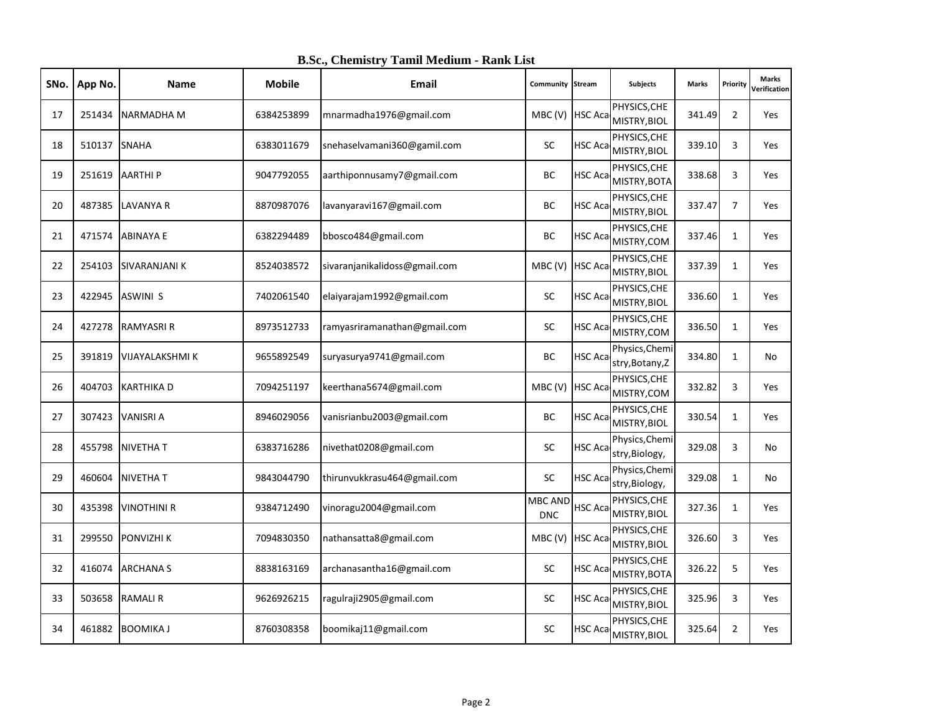| SNo. | App No. | Name                   | <b>Mobile</b> | <b>Email</b>                  | <b>Community Stream</b>      |                | <b>Subjects</b>                   | <b>Marks</b> | Priority       | <b>Marks</b><br>Verification |
|------|---------|------------------------|---------------|-------------------------------|------------------------------|----------------|-----------------------------------|--------------|----------------|------------------------------|
| 17   | 251434  | NARMADHA M             | 6384253899    | mnarmadha1976@gmail.com       | MBC (V) HSC Aca              |                | PHYSICS, CHE<br>MISTRY, BIOL      | 341.49       | $\overline{2}$ | Yes                          |
| 18   | 510137  | <b>SNAHA</b>           | 6383011679    | snehaselvamani360@gamil.com   | <b>SC</b>                    | HSC Aca        | PHYSICS, CHE<br>MISTRY, BIOL      | 339.10       | 3              | Yes                          |
| 19   | 251619  | <b>AARTHIP</b>         | 9047792055    | aarthiponnusamy7@gmail.com    | ВC                           | HSC Aca        | PHYSICS, CHE<br>MISTRY, BOTA      | 338.68       | 3              | <b>Yes</b>                   |
| 20   | 487385  | <b>LAVANYA R</b>       | 8870987076    | lavanyaravi167@gmail.com      | BC                           | HSC Aca        | PHYSICS, CHE<br>MISTRY, BIOL      | 337.47       | $\overline{7}$ | Yes                          |
| 21   | 471574  | ABINAYA E              | 6382294489    | bbosco484@gmail.com           | BC                           | HSC Aca        | PHYSICS, CHE<br>MISTRY, COM       | 337.46       | 1              | Yes                          |
| 22   | 254103  | SIVARANJANI K          | 8524038572    | sivaranjanikalidoss@gmail.com | MBC (V) HSC Aca              |                | PHYSICS, CHE<br>MISTRY, BIOL      | 337.39       | $\mathbf{1}$   | Yes                          |
| 23   | 422945  | <b>ASWINI S</b>        | 7402061540    | elaiyarajam1992@gmail.com     | <b>SC</b>                    | HSC Aca        | PHYSICS, CHE<br>MISTRY, BIOL      | 336.60       | $\mathbf{1}$   | Yes                          |
| 24   | 427278  | <b>RAMYASRI R</b>      | 8973512733    | ramyasriramanathan@gmail.com  | SC                           | HSC Aca        | PHYSICS, CHE<br>MISTRY, COM       | 336.50       | $\mathbf{1}$   | Yes                          |
| 25   | 391819  | <b>VIJAYALAKSHMI K</b> | 9655892549    | suryasurya9741@gmail.com      | ВC                           | HSC Aca        | Physics, Chemi<br>stry, Botany, Z | 334.80       | $\mathbf{1}$   | No                           |
| 26   | 404703  | <b>KARTHIKA D</b>      | 7094251197    | keerthana5674@gmail.com       | MBC(V)                       | <b>HSC Aca</b> | PHYSICS, CHE<br>MISTRY, COM       | 332.82       | $\overline{3}$ | Yes                          |
| 27   | 307423  | <b>VANISRI A</b>       | 8946029056    | vanisrianbu2003@gmail.com     | BC                           | HSC Aca        | PHYSICS, CHE<br>MISTRY, BIOL      | 330.54       | $\mathbf{1}$   | Yes                          |
| 28   | 455798  | <b>NIVETHAT</b>        | 6383716286    | nivethat0208@gmail.com        | <b>SC</b>                    | HSC Aca        | Physics, Chemi<br>stry, Biology,  | 329.08       | 3              | No                           |
| 29   | 460604  | <b>NIVETHAT</b>        | 9843044790    | thirunvukkrasu464@gmail.com   | <b>SC</b>                    | HSC Aca        | Physics, Chemi<br>stry, Biology,  | 329.08       | $\mathbf{1}$   | No                           |
| 30   | 435398  | <b>VINOTHINI R</b>     | 9384712490    | vinoragu2004@gmail.com        | <b>MBC AND</b><br><b>DNC</b> | HSC Aca        | PHYSICS, CHE<br>MISTRY, BIOL      | 327.36       | $\mathbf{1}$   | <b>Yes</b>                   |
| 31   | 299550  | <b>PONVIZHI K</b>      | 7094830350    | nathansatta8@gmail.com        | MBC(V)                       | <b>HSC Aca</b> | PHYSICS, CHE<br>MISTRY, BIOL      | 326.60       | 3              | Yes                          |
| 32   | 416074  | <b>ARCHANAS</b>        | 8838163169    | archanasantha16@gmail.com     | SC                           | HSC Aca        | PHYSICS, CHE<br>MISTRY, BOTA      | 326.22       | 5              | Yes                          |
| 33   |         | 503658 RAMALI R        | 9626926215    | ragulraji2905@gmail.com       | SC                           | HSC Aca        | PHYSICS, CHE<br>MISTRY, BIOL      | 325.96       | 3              | <b>Yes</b>                   |
| 34   |         | 461882 BOOMIKA J       | 8760308358    | boomikaj11@gmail.com          | SC                           | HSC Aca        | PHYSICS, CHE<br>MISTRY, BIOL      | 325.64       | $\overline{2}$ | Yes                          |

**B.Sc., Chemistry Tamil Medium - Rank List**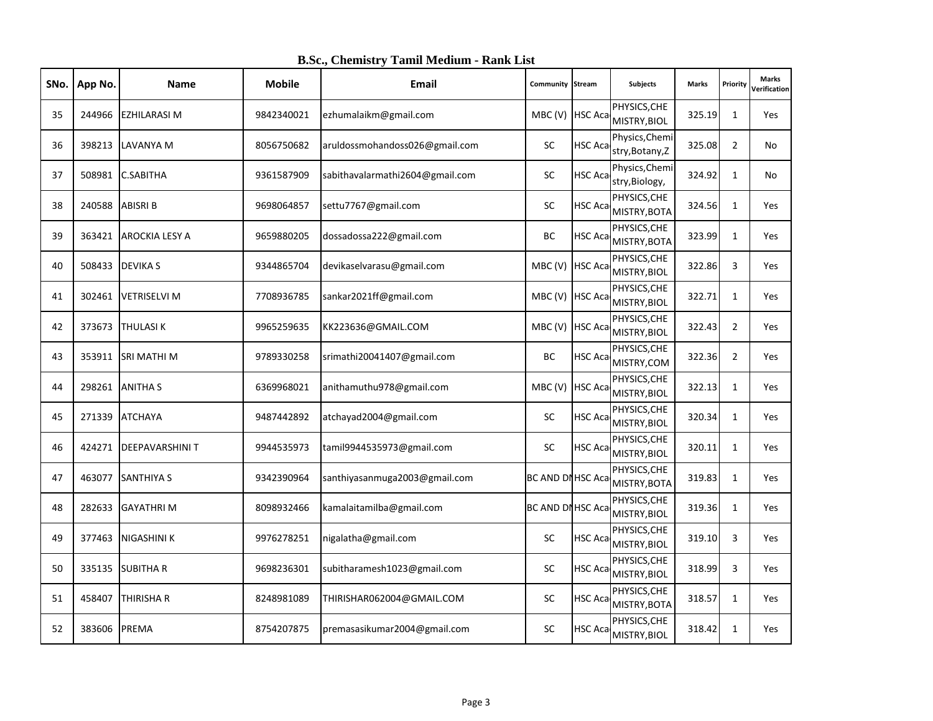| SNo. | App No. | Name                  | <b>Mobile</b> | Email                           | <b>Community Stream</b> |                | <b>Subjects</b>                   | <b>Marks</b> | Priority       | <b>Marks</b><br>Verification |
|------|---------|-----------------------|---------------|---------------------------------|-------------------------|----------------|-----------------------------------|--------------|----------------|------------------------------|
| 35   | 244966  | <b>EZHILARASI M</b>   | 9842340021    | ezhumalaikm@gmail.com           | MBC (V) HSC Aca         |                | PHYSICS, CHE<br>MISTRY, BIOL      | 325.19       | $\mathbf{1}$   | <b>Yes</b>                   |
| 36   | 398213  | LAVANYA M             | 8056750682    | aruldossmohandoss026@gmail.com  | <b>SC</b>               | HSC Aca        | Physics, Chemi<br>stry, Botany, Z | 325.08       | $\overline{2}$ | No                           |
| 37   | 508981  | <b>C.SABITHA</b>      | 9361587909    | sabithavalarmathi2604@gmail.com | SC                      | <b>HSC Aca</b> | Physics, Chemi<br>stry, Biology,  | 324.92       | $\mathbf{1}$   | No                           |
| 38   | 240588  | <b>ABISRI B</b>       | 9698064857    | settu7767@gmail.com             | <b>SC</b>               | HSC Aca        | PHYSICS, CHE<br>MISTRY, BOTA      | 324.56       | $\mathbf{1}$   | Yes                          |
| 39   | 363421  | <b>AROCKIA LESY A</b> | 9659880205    | dossadossa222@gmail.com         | BC                      | HSC Aca        | PHYSICS, CHE<br>MISTRY, BOTA      | 323.99       | $\mathbf{1}$   | Yes                          |
| 40   | 508433  | <b>DEVIKA S</b>       | 9344865704    | devikaselvarasu@gmail.com       | MBC (V) HSC Aca         |                | PHYSICS, CHE<br>MISTRY, BIOL      | 322.86       | 3              | Yes                          |
| 41   | 302461  | <b>VETRISELVI M</b>   | 7708936785    | sankar2021ff@gmail.com          | MBC (V) HSC Aca         |                | PHYSICS, CHE<br>MISTRY, BIOL      | 322.71       | $\mathbf{1}$   | Yes                          |
| 42   | 373673  | <b>THULASIK</b>       | 9965259635    | KK223636@GMAIL.COM              | MBC (V) HSC Aca         |                | PHYSICS, CHE<br>MISTRY, BIOL      | 322.43       | $\overline{2}$ | Yes                          |
| 43   | 353911  | SRI MATHI M           | 9789330258    | srimathi20041407@gmail.com      | ВC                      | HSC Aca        | PHYSICS, CHE<br>MISTRY, COM       | 322.36       | $\overline{2}$ | <b>Yes</b>                   |
| 44   | 298261  | <b>ANITHA S</b>       | 6369968021    | anithamuthu978@gmail.com        | MBC(V)                  | <b>HSC Aca</b> | PHYSICS, CHE<br>MISTRY, BIOL      | 322.13       | $\mathbf{1}$   | Yes                          |
| 45   | 271339  | <b>ATCHAYA</b>        | 9487442892    | atchayad2004@gmail.com          | SC                      | HSC Aca        | PHYSICS, CHE<br>MISTRY, BIOL      | 320.34       | $\mathbf{1}$   | Yes                          |
| 46   | 424271  | <b>DEEPAVARSHINIT</b> | 9944535973    | tamil9944535973@gmail.com       | SC                      | HSC Aca        | PHYSICS, CHE<br>MISTRY, BIOL      | 320.11       | $\mathbf{1}$   | Yes                          |
| 47   | 463077  | <b>SANTHIYA S</b>     | 9342390964    | santhiyasanmuga2003@gmail.com   | BC AND DI HSC Aca       |                | PHYSICS, CHE<br>MISTRY, BOTA      | 319.83       | $\mathbf{1}$   | Yes                          |
| 48   | 282633  | <b>GAYATHRI M</b>     | 8098932466    | kamalaitamilba@gmail.com        | BC AND DI HSC Aca       |                | PHYSICS, CHE<br>MISTRY, BIOL      | 319.36       | $\mathbf{1}$   | <b>Yes</b>                   |
| 49   | 377463  | <b>NIGASHINI K</b>    | 9976278251    | nigalatha@gmail.com             | SC                      | HSC Aca        | PHYSICS, CHE<br>MISTRY, BIOL      | 319.10       | 3              | Yes                          |
| 50   | 335135  | <b>SUBITHA R</b>      | 9698236301    | subitharamesh1023@gmail.com     | SC                      | HSC Aca        | PHYSICS, CHE<br>MISTRY, BIOL      | 318.99       | $\overline{3}$ | Yes                          |
| 51   | 458407  | THIRISHA R            | 8248981089    | THIRISHAR062004@GMAIL.COM       | <b>SC</b>               | <b>HSC Aca</b> | PHYSICS, CHE<br>MISTRY, BOTA      | 318.57       | $\mathbf{1}$   | <b>Yes</b>                   |
| 52   | 383606  | PREMA                 | 8754207875    | premasasikumar2004@gmail.com    | <b>SC</b>               | <b>HSC Aca</b> | PHYSICS, CHE<br>MISTRY, BIOL      | 318.42       | $\mathbf{1}$   | Yes                          |

**B.Sc., Chemistry Tamil Medium - Rank List**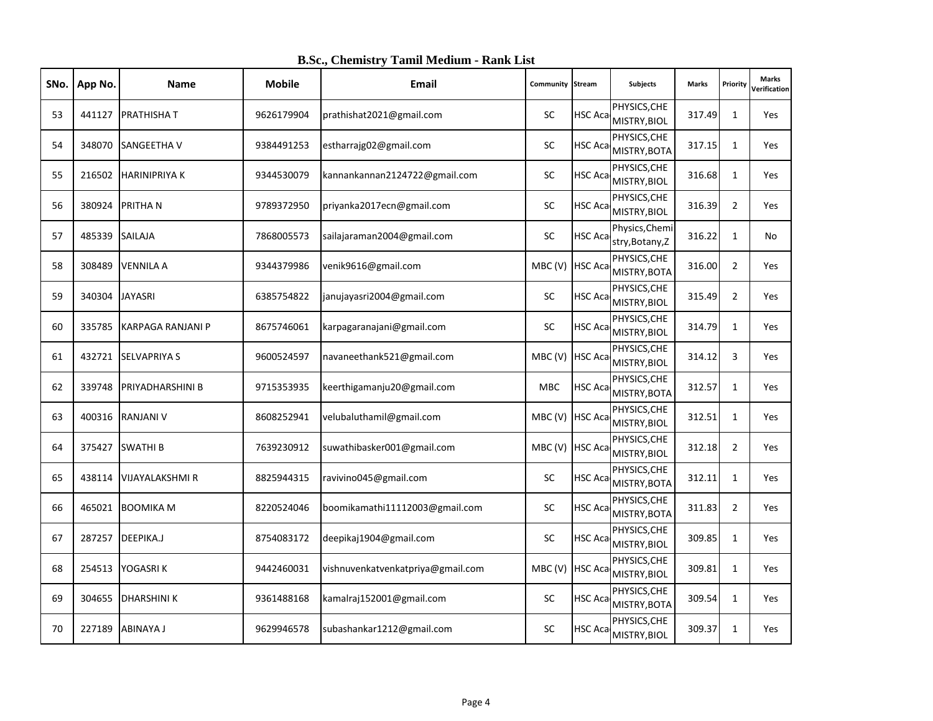| SNo. | App No. | <b>Name</b>              | <b>Mobile</b> | <b>Email</b>                      | <b>Community Stream</b> |                | Subjects                             | <b>Marks</b> | Priority       | <b>Marks</b><br>Verification |
|------|---------|--------------------------|---------------|-----------------------------------|-------------------------|----------------|--------------------------------------|--------------|----------------|------------------------------|
| 53   | 441127  | <b>PRATHISHAT</b>        | 9626179904    | prathishat2021@gmail.com          | <b>SC</b>               | <b>HSC Aca</b> | PHYSICS, CHE<br>MISTRY, BIOL         | 317.49       | $\mathbf{1}$   | <b>Yes</b>                   |
| 54   | 348070  | SANGEETHA V              | 9384491253    | estharrajg02@gmail.com            | <b>SC</b>               |                | PHYSICS, CHE<br>HSC Aca MISTRY, BOTA | 317.15       | $\mathbf{1}$   | Yes                          |
| 55   | 216502  | <b>HARINIPRIYAK</b>      | 9344530079    | kannankannan2124722@gmail.com     | SC                      | <b>HSC Aca</b> | PHYSICS, CHE<br>MISTRY, BIOL         | 316.68       | $\mathbf{1}$   | <b>Yes</b>                   |
| 56   | 380924  | <b>PRITHAN</b>           | 9789372950    | priyanka2017ecn@gmail.com         | SC                      | <b>HSC Aca</b> | PHYSICS, CHE<br>MISTRY, BIOL         | 316.39       | $\overline{2}$ | Yes                          |
| 57   | 485339  | <b>SAILAJA</b>           | 7868005573    | sailajaraman2004@gmail.com        | SC                      | HSC Aca        | Physics, Chemi<br>stry, Botany, Z    | 316.22       | 1              | No                           |
| 58   | 308489  | <b>VENNILA A</b>         | 9344379986    | venik9616@gmail.com               | MBC (V) HSC Aca         |                | PHYSICS, CHE<br>MISTRY, BOTA         | 316.00       | $\overline{2}$ | Yes                          |
| 59   | 340304  | <b>JAYASRI</b>           | 6385754822    | janujayasri2004@gmail.com         | SC                      | HSC Aca        | PHYSICS, CHE<br>MISTRY, BIOL         | 315.49       | $\overline{2}$ | Yes                          |
| 60   | 335785  | <b>KARPAGA RANJANI P</b> | 8675746061    | karpagaranajani@gmail.com         | <b>SC</b>               | HSC Aca        | PHYSICS, CHE<br>MISTRY, BIOL         | 314.79       | $\mathbf{1}$   | Yes                          |
| 61   | 432721  | <b>SELVAPRIYA S</b>      | 9600524597    | navaneethank521@gmail.com         | MBC (V) HSC Aca         |                | PHYSICS, CHE<br>MISTRY, BIOL         | 314.12       | 3              | Yes                          |
| 62   | 339748  | PRIYADHARSHINI B         | 9715353935    | keerthigamanju20@gmail.com        | <b>MBC</b>              | HSC Aca        | PHYSICS, CHE<br>MISTRY, BOTA         | 312.57       | $\mathbf{1}$   | Yes                          |
| 63   | 400316  | <b>RANJANI V</b>         | 8608252941    | velubaluthamil@gmail.com          | MBC (V) HSC Aca         |                | PHYSICS, CHE<br>MISTRY, BIOL         | 312.51       | $\mathbf{1}$   | <b>Yes</b>                   |
| 64   | 375427  | <b>SWATHI B</b>          | 7639230912    | suwathibasker001@gmail.com        | MBC (V) HSC Aca         |                | PHYSICS, CHE<br>MISTRY, BIOL         | 312.18       | $\overline{2}$ | Yes                          |
| 65   | 438114  | <b>VIJAYALAKSHMI R</b>   | 8825944315    | ravivino045@gmail.com             | <b>SC</b>               | HSC Aca        | PHYSICS, CHE<br>MISTRY, BOTA         | 312.11       | $\mathbf{1}$   | Yes                          |
| 66   | 465021  | <b>BOOMIKA M</b>         | 8220524046    | boomikamathi11112003@gmail.com    | <b>SC</b>               | HSC Aca        | PHYSICS, CHE<br>MISTRY, BOTA         | 311.83       | $\overline{2}$ | Yes                          |
| 67   | 287257  | DEEPIKA.J                | 8754083172    | deepikaj1904@gmail.com            | SC                      | HSC Aca        | PHYSICS, CHE<br>MISTRY, BIOL         | 309.85       | $\mathbf{1}$   | Yes                          |
| 68   | 254513  | YOGASRI K                | 9442460031    | vishnuvenkatvenkatpriya@gmail.com | MBC (V) HSC Aca         |                | PHYSICS, CHE<br>MISTRY, BIOL         | 309.81       | $\mathbf{1}$   | <b>Yes</b>                   |
| 69   | 304655  | <b>DHARSHINI K</b>       | 9361488168    | kamalraj152001@gmail.com          | <b>SC</b>               | HSC Aca        | PHYSICS, CHE<br>MISTRY, BOTA         | 309.54       | $\mathbf{1}$   | <b>Yes</b>                   |
| 70   | 227189  | <b>ABINAYA J</b>         | 9629946578    | subashankar1212@gmail.com         | SC                      |                | PHYSICS, CHE<br>HSC Aca MISTRY, BIOL | 309.37       | $\mathbf{1}$   | Yes                          |

**B.Sc., Chemistry Tamil Medium - Rank List**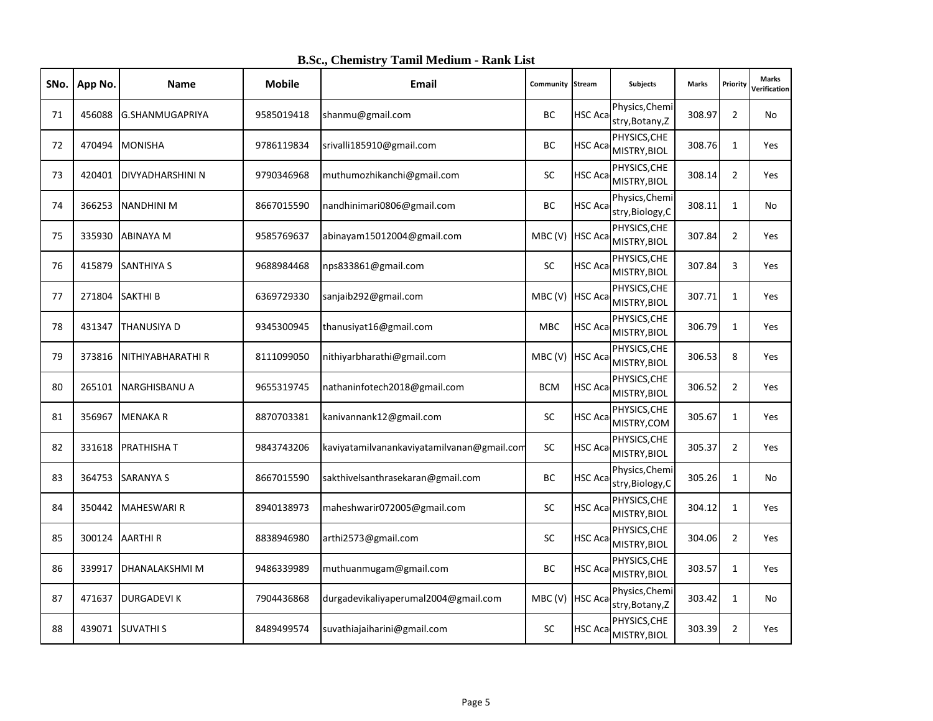| SNo. | App No. | Name                    | <b>Mobile</b> | <b>Email</b>                               | Community Stream |                | Subjects                             | <b>Marks</b> | Priority       | <b>Marks</b><br>Verification |
|------|---------|-------------------------|---------------|--------------------------------------------|------------------|----------------|--------------------------------------|--------------|----------------|------------------------------|
| 71   | 456088  | G.SHANMUGAPRIYA         | 9585019418    | shanmu@gmail.com                           | ВC               | <b>HSC Aca</b> | Physics, Chemi<br>stry, Botany, Z    | 308.97       | $\overline{2}$ | No                           |
| 72   | 470494  | <b>MONISHA</b>          | 9786119834    | srivalli185910@gmail.com                   | ВC               | HSC Aca        | PHYSICS, CHE<br>MISTRY, BIOL         | 308.76       | $\mathbf{1}$   | Yes                          |
| 73   | 420401  | <b>DIVYADHARSHINI N</b> | 9790346968    | muthumozhikanchi@gmail.com                 | <b>SC</b>        | <b>HSC Aca</b> | PHYSICS, CHE<br>MISTRY, BIOL         | 308.14       | $\overline{2}$ | <b>Yes</b>                   |
| 74   | 366253  | <b>NANDHINI M</b>       | 8667015590    | nandhinimari0806@gmail.com                 | BC               | <b>HSC Aca</b> | Physics, Chemi<br>stry, Biology, C   | 308.11       | $\mathbf{1}$   | No                           |
| 75   | 335930  | <b>ABINAYA M</b>        | 9585769637    | abinayam15012004@gmail.com                 | MBC (V) HSC Aca  |                | PHYSICS, CHE<br>MISTRY, BIOL         | 307.84       | $\overline{2}$ | Yes                          |
| 76   | 415879  | <b>SANTHIYA S</b>       | 9688984468    | nps833861@gmail.com                        | SC               | <b>HSC Aca</b> | PHYSICS, CHE<br>MISTRY, BIOL         | 307.84       | 3              | Yes                          |
| 77   | 271804  | <b>SAKTHI B</b>         | 6369729330    | sanjaib292@gmail.com                       | MBC (V) HSC Aca  |                | PHYSICS, CHE<br>MISTRY, BIOL         | 307.71       | $\mathbf{1}$   | Yes                          |
| 78   | 431347  | <b>THANUSIYA D</b>      | 9345300945    | thanusiyat16@gmail.com                     | <b>MBC</b>       | <b>HSC Aca</b> | PHYSICS, CHE<br>MISTRY, BIOL         | 306.79       | $\mathbf{1}$   | Yes                          |
| 79   | 373816  | NITHIYABHARATHI R       | 8111099050    | nithiyarbharathi@gmail.com                 | MBC(V)           | <b>HSC Aca</b> | PHYSICS, CHE<br>MISTRY, BIOL         | 306.53       | 8              | Yes                          |
| 80   | 265101  | <b>NARGHISBANU A</b>    | 9655319745    | nathaninfotech2018@gmail.com               | <b>BCM</b>       | HSC Aca        | PHYSICS, CHE<br>MISTRY, BIOL         | 306.52       | $\overline{2}$ | <b>Yes</b>                   |
| 81   | 356967  | <b>MENAKAR</b>          | 8870703381    | kanivannank12@gmail.com                    | SC               | HSC Aca        | PHYSICS, CHE<br>MISTRY, COM          | 305.67       | $\mathbf{1}$   | Yes                          |
| 82   | 331618  | <b>PRATHISHAT</b>       | 9843743206    | kaviyatamilvanankaviyatamilvanan@gmail.com | SC               | HSC Aca        | PHYSICS, CHE<br>MISTRY, BIOL         | 305.37       | $\overline{2}$ | <b>Yes</b>                   |
| 83   | 364753  | <b>SARANYA S</b>        | 8667015590    | sakthivelsanthrasekaran@gmail.com          | <b>BC</b>        | HSC Aca        | Physics, Chemi<br>stry, Biology, C   | 305.26       | $\mathbf{1}$   | No                           |
| 84   | 350442  | <b>MAHESWARI R</b>      | 8940138973    | maheshwarir072005@gmail.com                | SC               | HSC Aca        | PHYSICS, CHE<br>MISTRY, BIOL         | 304.12       | 1              | Yes                          |
| 85   | 300124  | <b>AARTHIR</b>          | 8838946980    | arthi2573@gmail.com                        | <b>SC</b>        | HSC Aca        | PHYSICS, CHE<br>MISTRY, BIOL         | 304.06       | $\overline{2}$ | <b>Yes</b>                   |
| 86   | 339917  | <b>DHANALAKSHMIM</b>    | 9486339989    | muthuanmugam@gmail.com                     | BC               |                | PHYSICS, CHE<br>HSC Aca MISTRY, BIOL | 303.57       | $\mathbf{1}$   | Yes                          |
| 87   | 471637  | <b>DURGADEVIK</b>       | 7904436868    | durgadevikaliyaperumal2004@gmail.com       | MBC (V) HSC Aca  |                | Physics, Chemi<br>stry, Botany, Z    | 303.42       | $\mathbf{1}$   | No                           |
| 88   | 439071  | <b>SUVATHIS</b>         | 8489499574    | suvathiajaiharini@gmail.com                | SC               |                | PHYSICS, CHE<br>HSC Aca MISTRY, BIOL | 303.39       | $\overline{2}$ | Yes                          |

**B.Sc., Chemistry Tamil Medium - Rank List**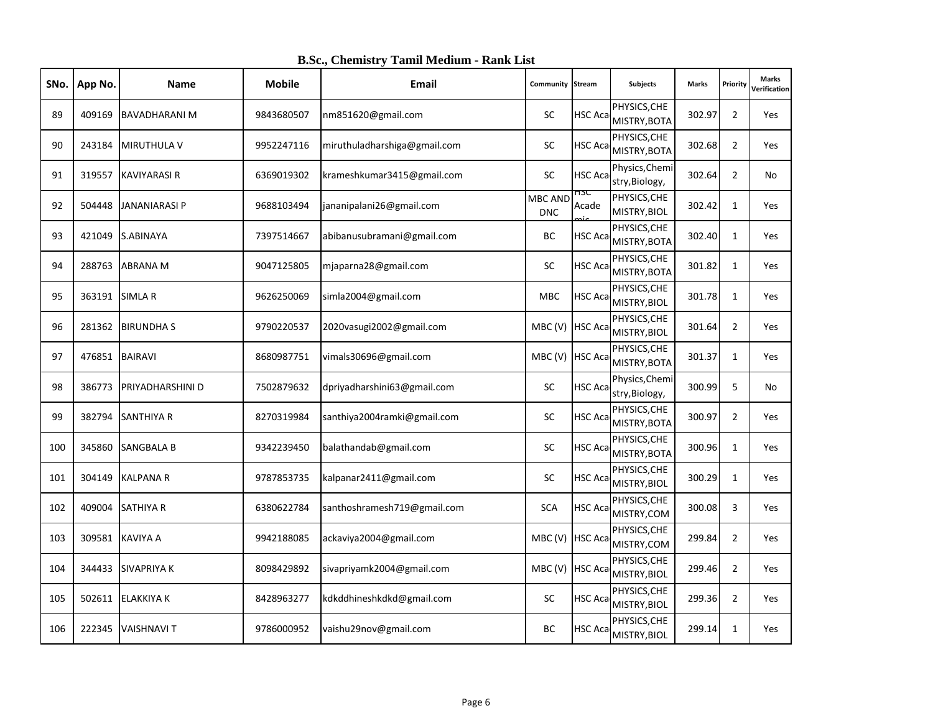| SNo. | App No. | Name                 | <b>Mobile</b> | <b>Email</b>                 | Community Stream             |                | Subjects                             | <b>Marks</b> | Priority       | <b>Marks</b><br>Verification |
|------|---------|----------------------|---------------|------------------------------|------------------------------|----------------|--------------------------------------|--------------|----------------|------------------------------|
| 89   | 409169  | <b>BAVADHARANI M</b> | 9843680507    | nm851620@gmail.com           | <b>SC</b>                    | <b>HSC Aca</b> | PHYSICS, CHE<br>MISTRY, BOTA         | 302.97       | $\overline{2}$ | <b>Yes</b>                   |
| 90   | 243184  | <b>MIRUTHULA V</b>   | 9952247116    | miruthuladharshiga@gmail.com | <b>SC</b>                    | HSC Aca        | PHYSICS, CHE<br>MISTRY, BOTA         | 302.68       | $\overline{2}$ | Yes                          |
| 91   | 319557  | <b>KAVIYARASI R</b>  | 6369019302    | krameshkumar3415@gmail.com   | SC                           | <b>HSC Aca</b> | Physics, Chemi<br>stry, Biology,     | 302.64       | $\overline{2}$ | No                           |
| 92   | 504448  | <b>JANANIARASI P</b> | 9688103494    | jananipalani26@gmail.com     | <b>MBC AND</b><br><b>DNC</b> | 13C<br>Acade   | PHYSICS, CHE<br>MISTRY, BIOL         | 302.42       | $\mathbf{1}$   | Yes                          |
| 93   | 421049  | S.ABINAYA            | 7397514667    | abibanusubramani@gmail.com   | BC                           | <b>HSC Aca</b> | PHYSICS, CHE<br>MISTRY, BOTA         | 302.40       | $\mathbf{1}$   | Yes                          |
| 94   | 288763  | <b>ABRANA M</b>      | 9047125805    | mjaparna28@gmail.com         | SC                           | HSC Aca        | PHYSICS, CHE<br>MISTRY, BOTA         | 301.82       | $\mathbf{1}$   | Yes                          |
| 95   | 363191  | <b>SIMLA R</b>       | 9626250069    | simla2004@gmail.com          | <b>MBC</b>                   | HSC Aca        | PHYSICS, CHE<br>MISTRY, BIOL         | 301.78       | $\mathbf{1}$   | Yes                          |
| 96   | 281362  | <b>BIRUNDHAS</b>     | 9790220537    | 2020vasugi2002@gmail.com     | MBC (V) HSC Aca              |                | PHYSICS, CHE<br>MISTRY, BIOL         | 301.64       | $\overline{2}$ | Yes                          |
| 97   | 476851  | <b>BAIRAVI</b>       | 8680987751    | vimals30696@gmail.com        | MBC (V) HSC Aca              |                | PHYSICS, CHE<br>MISTRY, BOTA         | 301.37       | $\mathbf{1}$   | <b>Yes</b>                   |
| 98   | 386773  | PRIYADHARSHINI D     | 7502879632    | dpriyadharshini63@gmail.com  | <b>SC</b>                    | HSC Aca        | Physics, Chemi<br>stry, Biology,     | 300.99       | 5              | No                           |
| 99   | 382794  | <b>SANTHIYA R</b>    | 8270319984    | santhiya2004ramki@gmail.com  | SC                           | HSC Aca        | PHYSICS, CHE<br>MISTRY, BOTA         | 300.97       | $\overline{2}$ | <b>Yes</b>                   |
| 100  | 345860  | <b>SANGBALA B</b>    | 9342239450    | balathandab@gmail.com        | <b>SC</b>                    | HSC Aca        | PHYSICS, CHE<br>MISTRY, BOTA         | 300.96       | $\mathbf{1}$   | Yes                          |
| 101  | 304149  | <b>KALPANAR</b>      | 9787853735    | kalpanar2411@gmail.com       | <b>SC</b>                    | HSC Aca        | PHYSICS, CHE<br>MISTRY, BIOL         | 300.29       | $\mathbf{1}$   | Yes                          |
| 102  | 409004  | <b>SATHIYA R</b>     | 6380622784    | santhoshramesh719@gmail.com  | <b>SCA</b>                   | HSC Aca        | PHYSICS, CHE<br>MISTRY, COM          | 300.08       | 3              | <b>Yes</b>                   |
| 103  | 309581  | <b>KAVIYA A</b>      | 9942188085    | ackaviya2004@gmail.com       | MBC (V) HSC Aca              |                | PHYSICS, CHE<br>MISTRY, COM          | 299.84       | $\overline{2}$ | Yes                          |
| 104  | 344433  | <b>SIVAPRIYA K</b>   | 8098429892    | sivapriyamk2004@gmail.com    | MBC (V) HSC Aca              |                | PHYSICS, CHE<br>MISTRY, BIOL         | 299.46       | $\overline{2}$ | <b>Yes</b>                   |
| 105  | 502611  | <b>ELAKKIYA K</b>    | 8428963277    | kdkddhineshkdkd@gmail.com    | <b>SC</b>                    | HSC Aca        | PHYSICS, CHE<br>MISTRY, BIOL         | 299.36       | $\overline{2}$ | <b>Yes</b>                   |
| 106  | 222345  | <b>VAISHNAVIT</b>    | 9786000952    | vaishu29nov@gmail.com        | BC                           |                | PHYSICS, CHE<br>HSC Aca MISTRY, BIOL | 299.14       | $\mathbf{1}$   | Yes                          |

**B.Sc., Chemistry Tamil Medium - Rank List**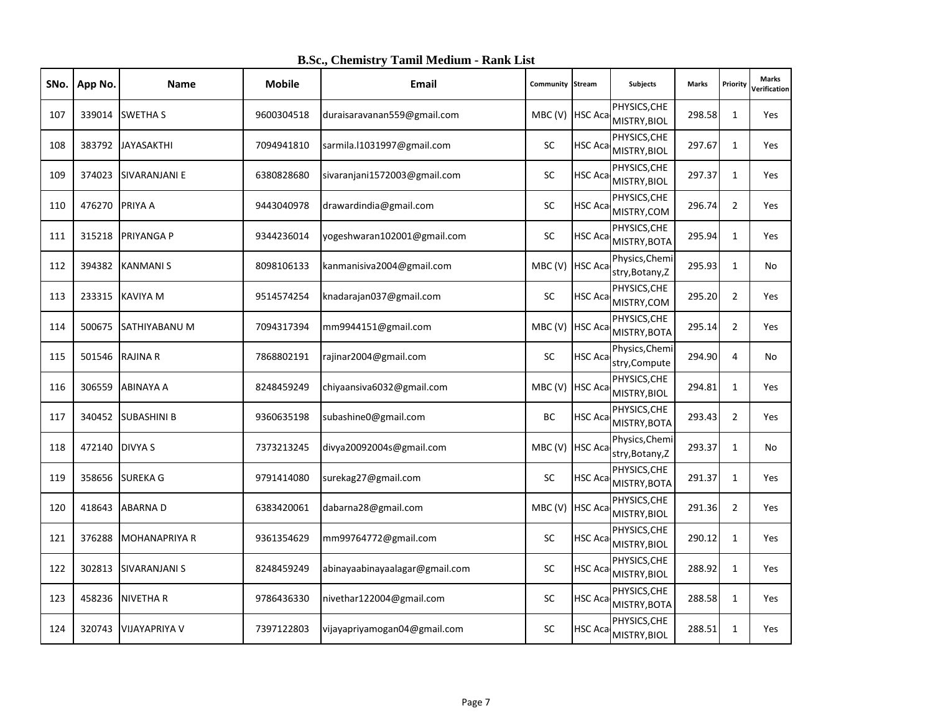| SNo. | App No. | <b>Name</b>          | <b>Mobile</b> | Email                          | <b>Community Stream</b> |                | <b>Subjects</b>                   | <b>Marks</b> | Priority       | <b>Marks</b><br>Verification |
|------|---------|----------------------|---------------|--------------------------------|-------------------------|----------------|-----------------------------------|--------------|----------------|------------------------------|
| 107  | 339014  | <b>SWETHA S</b>      | 9600304518    | duraisaravanan559@gmail.com    | MBC (V) HSC Aca         |                | PHYSICS, CHE<br>MISTRY, BIOL      | 298.58       | $\mathbf{1}$   | <b>Yes</b>                   |
| 108  | 383792  | <b>JAYASAKTHI</b>    | 7094941810    | sarmila.l1031997@gmail.com     | <b>SC</b>               | <b>HSC Aca</b> | PHYSICS, CHE<br>MISTRY, BIOL      | 297.67       | $\mathbf{1}$   | Yes                          |
| 109  | 374023  | SIVARANJANI E        | 6380828680    | sivaranjani1572003@gmail.com   | SC                      | <b>HSC Aca</b> | PHYSICS, CHE<br>MISTRY, BIOL      | 297.37       | $\mathbf{1}$   | <b>Yes</b>                   |
| 110  | 476270  | <b>PRIYA A</b>       | 9443040978    | drawardindia@gmail.com         | <b>SC</b>               | HSC Aca        | PHYSICS, CHE<br>MISTRY, COM       | 296.74       | $\overline{2}$ | Yes                          |
| 111  | 315218  | <b>PRIYANGA P</b>    | 9344236014    | yogeshwaran102001@gmail.com    | <b>SC</b>               | <b>HSC Aca</b> | PHYSICS, CHE<br>MISTRY, BOTA      | 295.94       | 1              | Yes                          |
| 112  | 394382  | <b>KANMANIS</b>      | 8098106133    | kanmanisiva2004@gmail.com      | MBC (V) HSC Aca         |                | Physics, Chemi<br>stry, Botany, Z | 295.93       | $\mathbf{1}$   | No                           |
| 113  | 233315  | <b>KAVIYA M</b>      | 9514574254    | knadarajan037@gmail.com        | SC                      | <b>HSC Aca</b> | PHYSICS, CHE<br>MISTRY, COM       | 295.20       | $\overline{2}$ | Yes                          |
| 114  | 500675  | <b>SATHIYABANU M</b> | 7094317394    | mm9944151@gmail.com            | MBC (V) HSC Aca         |                | PHYSICS, CHE<br>MISTRY, BOTA      | 295.14       | $\overline{2}$ | Yes                          |
| 115  | 501546  | <b>RAJINA R</b>      | 7868802191    | rajinar2004@gmail.com          | <b>SC</b>               | HSC Aca        | Physics, Chemi<br>stry, Compute   | 294.90       | 4              | No                           |
| 116  | 306559  | <b>ABINAYA A</b>     | 8248459249    | chiyaansiva6032@gmail.com      | MBC(V)                  | <b>HSC Aca</b> | PHYSICS, CHE<br>MISTRY, BIOL      | 294.81       | $\mathbf{1}$   | Yes                          |
| 117  | 340452  | <b>SUBASHINI B</b>   | 9360635198    | subashine0@gmail.com           | ВC                      | HSC Aca        | PHYSICS, CHE<br>MISTRY, BOTA      | 293.43       | $\overline{2}$ | Yes                          |
| 118  | 472140  | <b>DIVYA S</b>       | 7373213245    | divya20092004s@gmail.com       | MBC (V)                 | <b>HSC Aca</b> | Physics, Chemi<br>stry, Botany, Z | 293.37       | $\mathbf{1}$   | No                           |
| 119  | 358656  | <b>SUREKA G</b>      | 9791414080    | surekag27@gmail.com            | SC                      | <b>HSC Aca</b> | PHYSICS, CHE<br>MISTRY, BOTA      | 291.37       | $\mathbf{1}$   | Yes                          |
| 120  | 418643  | <b>ABARNAD</b>       | 6383420061    | dabarna28@gmail.com            | MBC (V)                 | <b>HSC Aca</b> | PHYSICS, CHE<br>MISTRY, BIOL      | 291.36       | $\overline{2}$ | <b>Yes</b>                   |
| 121  | 376288  | <b>MOHANAPRIYA R</b> | 9361354629    | mm99764772@gmail.com           | SC                      | HSC Aca        | PHYSICS, CHE<br>MISTRY, BIOL      | 290.12       | $\mathbf{1}$   | Yes                          |
| 122  | 302813  | <b>SIVARANJANI S</b> | 8248459249    | abinayaabinayaalagar@gmail.com | SC                      | HSC Aca        | PHYSICS, CHE<br>MISTRY, BIOL      | 288.92       | $\mathbf{1}$   | Yes                          |
| 123  | 458236  | <b>NIVETHAR</b>      | 9786436330    | nivethar122004@gmail.com       | <b>SC</b>               | <b>HSC Aca</b> | PHYSICS, CHE<br>MISTRY, BOTA      | 288.58       | $\mathbf{1}$   | <b>Yes</b>                   |
| 124  | 320743  | <b>VIJAYAPRIYA V</b> | 7397122803    | vijayapriyamogan04@gmail.com   | <b>SC</b>               | <b>HSC Aca</b> | PHYSICS, CHE<br>MISTRY, BIOL      | 288.51       | $\mathbf{1}$   | Yes                          |

**B.Sc., Chemistry Tamil Medium - Rank List**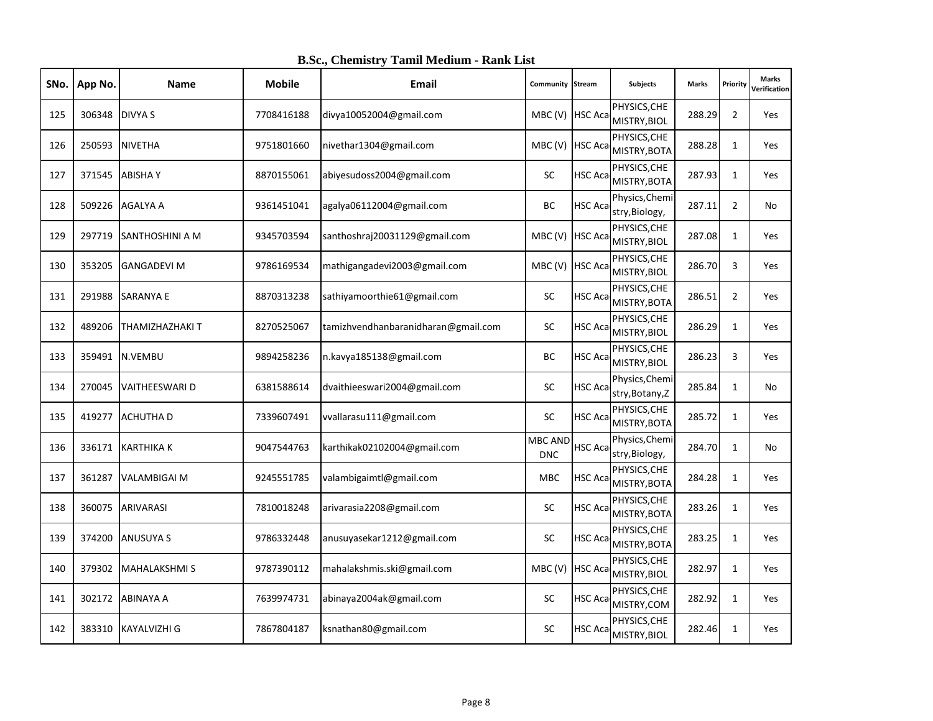| SNo. | App No. | Name                   | <b>Mobile</b> | Email                               | <b>Community Stream</b>      |                | Subjects                             | <b>Marks</b> | Priority       | <b>Marks</b><br>Verification |
|------|---------|------------------------|---------------|-------------------------------------|------------------------------|----------------|--------------------------------------|--------------|----------------|------------------------------|
| 125  | 306348  | <b>DIVYA S</b>         | 7708416188    | divya10052004@gmail.com             | MBC (V) HSC Aca              |                | PHYSICS, CHE<br>MISTRY, BIOL         | 288.29       | $\overline{2}$ | Yes                          |
| 126  | 250593  | <b>NIVETHA</b>         | 9751801660    | nivethar1304@gmail.com              | MBC (V) HSC Aca              |                | PHYSICS, CHE<br>MISTRY, BOTA         | 288.28       | $\mathbf{1}$   | Yes                          |
| 127  | 371545  | <b>ABISHAY</b>         | 8870155061    | abiyesudoss2004@gmail.com           | <b>SC</b>                    | HSC Aca        | PHYSICS, CHE<br>MISTRY, BOTA         | 287.93       | $\mathbf{1}$   | <b>Yes</b>                   |
| 128  | 509226  | <b>AGALYA A</b>        | 9361451041    | agalya06112004@gmail.com            | BC                           | HSC Aca        | Physics, Chemi<br>stry, Biology,     | 287.11       | $\overline{2}$ | No                           |
| 129  | 297719  | <b>SANTHOSHINI A M</b> | 9345703594    | santhoshraj20031129@gmail.com       | MBC (V) HSC Aca              |                | PHYSICS, CHE<br>MISTRY, BIOL         | 287.08       | $\mathbf{1}$   | Yes                          |
| 130  | 353205  | <b>GANGADEVI M</b>     | 9786169534    | mathigangadevi2003@gmail.com        | MBC (V) HSC Aca              |                | PHYSICS, CHE<br>MISTRY, BIOL         | 286.70       | $\overline{3}$ | Yes                          |
| 131  | 291988  | <b>SARANYA E</b>       | 8870313238    | sathiyamoorthie61@gmail.com         | SC                           | HSC Aca        | PHYSICS, CHE<br>MISTRY, BOTA         | 286.51       | $\overline{2}$ | <b>Yes</b>                   |
| 132  | 489206  | <b>THAMIZHAZHAKI T</b> | 8270525067    | tamizhvendhanbaranidharan@gmail.com | SC                           | HSC Aca        | PHYSICS, CHE<br>MISTRY, BIOL         | 286.29       | $\mathbf{1}$   | Yes                          |
| 133  | 359491  | N.VEMBU                | 9894258236    | n.kavya185138@gmail.com             | BC                           | HSC Aca        | PHYSICS, CHE<br>MISTRY, BIOL         | 286.23       | 3              | Yes                          |
| 134  | 270045  | <b>VAITHEESWARI D</b>  | 6381588614    | dvaithieeswari2004@gmail.com        | <b>SC</b>                    | HSC Aca        | Physics, Chemi<br>stry, Botany, Z    | 285.84       | $\mathbf{1}$   | No                           |
| 135  | 419277  | <b>ACHUTHA D</b>       | 7339607491    | vvallarasu111@gmail.com             | SC                           | HSC Aca        | PHYSICS, CHE<br>MISTRY, BOTA         | 285.72       | $\mathbf{1}$   | Yes                          |
| 136  |         | 336171 KARTHIKA K      | 9047544763    | karthikak02102004@gmail.com         | <b>MBC AND</b><br><b>DNC</b> | HSC Aca        | Physics, Chemi<br>stry, Biology,     | 284.70       | $\mathbf{1}$   | No                           |
| 137  | 361287  | <b>VALAMBIGAI M</b>    | 9245551785    | valambigaimtl@gmail.com             | <b>MBC</b>                   | <b>HSC Aca</b> | PHYSICS, CHE<br>MISTRY, BOTA         | 284.28       | $\mathbf{1}$   | Yes                          |
| 138  | 360075  | <b>ARIVARASI</b>       | 7810018248    | arivarasia2208@gmail.com            | SC                           | HSC Aca        | PHYSICS, CHE<br>MISTRY, BOTA         | 283.26       | 1              | Yes                          |
| 139  |         | 374200 ANUSUYA S       | 9786332448    | anusuyasekar1212@gmail.com          | <b>SC</b>                    | HSC Aca        | PHYSICS, CHE<br>MISTRY, BOTA         | 283.25       | $\mathbf{1}$   | <b>Yes</b>                   |
| 140  | 379302  | <b>MAHALAKSHMIS</b>    | 9787390112    | mahalakshmis.ski@gmail.com          | MBC (V) HSC Aca              |                | PHYSICS, CHE<br>MISTRY, BIOL         | 282.97       | $\mathbf{1}$   | Yes                          |
| 141  | 302172  | ABINAYA A              | 7639974731    | abinaya2004ak@gmail.com             | SC                           | HSC Aca        | PHYSICS, CHE<br>MISTRY, COM          | 282.92       | $\mathbf{1}$   | <b>Yes</b>                   |
| 142  |         | 383310 KAYALVIZHI G    | 7867804187    | ksnathan80@gmail.com                | <b>SC</b>                    |                | PHYSICS, CHE<br>HSC Aca MISTRY, BIOL | 282.46       | $\mathbf{1}$   | Yes                          |

**B.Sc., Chemistry Tamil Medium - Rank List**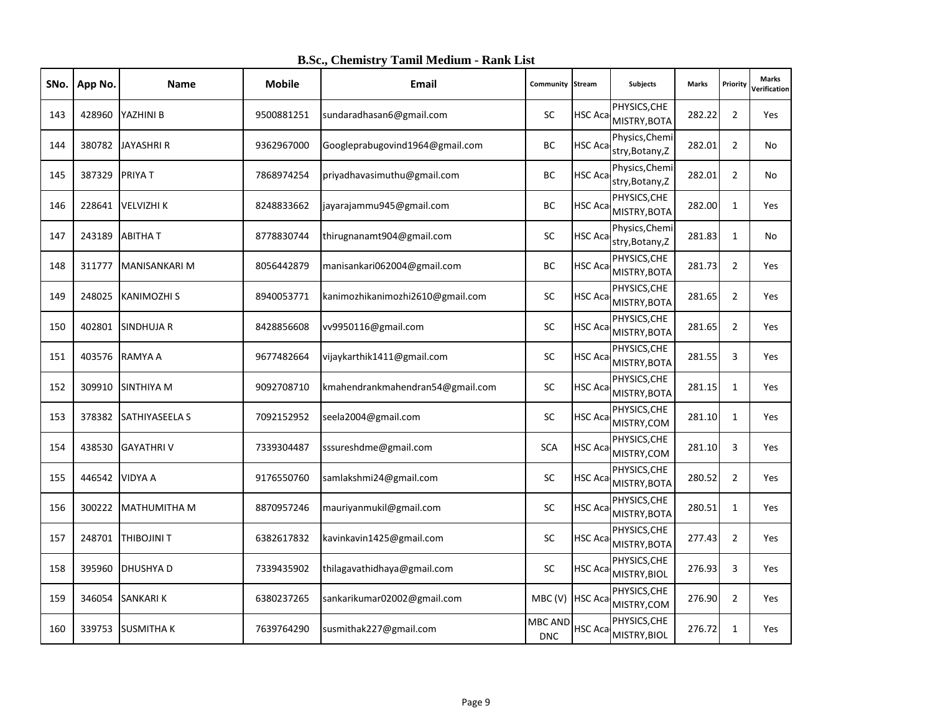| SNo. | App No. | <b>Name</b>           | <b>Mobile</b> | Email                            | Community Stream      |                | Subjects                          | <b>Marks</b> | Priority       | <b>Marks</b><br>Verification |
|------|---------|-----------------------|---------------|----------------------------------|-----------------------|----------------|-----------------------------------|--------------|----------------|------------------------------|
| 143  |         | 428960 YAZHINI B      | 9500881251    | sundaradhasan6@gmail.com         | SC                    | HSC Aca        | PHYSICS, CHE<br>MISTRY, BOTA      | 282.22       | $\overline{2}$ | <b>Yes</b>                   |
| 144  | 380782  | JAYASHRI R            | 9362967000    | Googleprabugovind1964@gmail.com  | BC                    | HSC Aca        | Physics, Chemi<br>stry, Botany, Z | 282.01       | $\overline{2}$ | No                           |
| 145  | 387329  | <b>PRIYAT</b>         | 7868974254    | priyadhavasimuthu@gmail.com      | ВC                    | <b>HSC Aca</b> | Physics, Chemi<br>stry, Botany, Z | 282.01       | $\overline{2}$ | No                           |
| 146  |         | 228641 VELVIZHI K     | 8248833662    | jayarajammu945@gmail.com         | BC                    | HSC Aca        | PHYSICS, CHE<br>MISTRY, BOTA      | 282.00       | $\mathbf{1}$   | Yes                          |
| 147  |         | 243189 ABITHAT        | 8778830744    | thirugnanamt904@gmail.com        | SC                    | <b>HSC Aca</b> | Physics, Chemi<br>stry, Botany, Z | 281.83       | 1              | No                           |
| 148  | 311777  | <b>MANISANKARI M</b>  | 8056442879    | manisankari062004@gmail.com      | ВC                    | HSC Aca        | PHYSICS, CHE<br>MISTRY, BOTA      | 281.73       | $\overline{2}$ | Yes                          |
| 149  | 248025  | <b>KANIMOZHI S</b>    | 8940053771    | kanimozhikanimozhi2610@gmail.com | SC                    | HSC Aca        | PHYSICS, CHE<br>MISTRY, BOTA      | 281.65       | $\overline{2}$ | Yes                          |
| 150  | 402801  | SINDHUJA R            | 8428856608    | vv9950116@gmail.com              | SC                    | <b>HSC Aca</b> | PHYSICS, CHE<br>MISTRY, BOTA      | 281.65       | $\overline{2}$ | Yes                          |
| 151  |         | 403576 RAMYA A        | 9677482664    | vijaykarthik1411@gmail.com       | SC                    | HSC Aca        | PHYSICS, CHE<br>MISTRY, BOTA      | 281.55       | 3              | Yes                          |
| 152  | 309910  | <b>SINTHIYA M</b>     | 9092708710    | kmahendrankmahendran54@gmail.com | SC                    | HSC Aca        | PHYSICS, CHE<br>MISTRY, BOTA      | 281.15       | $\mathbf{1}$   | Yes                          |
| 153  | 378382  | <b>SATHIYASEELA S</b> | 7092152952    | seela2004@gmail.com              | SC                    | HSC Aca        | PHYSICS, CHE<br>MISTRY, COM       | 281.10       | $\mathbf{1}$   | Yes                          |
| 154  | 438530  | <b>GAYATHRIV</b>      | 7339304487    | sssureshdme@gmail.com            | <b>SCA</b>            | HSC Aca        | PHYSICS, CHE<br>MISTRY, COM       | 281.10       | 3              | Yes                          |
| 155  |         | 446542 VIDYA A        | 9176550760    | samlakshmi24@gmail.com           | SC                    | HSC Aca        | PHYSICS, CHE<br>MISTRY, BOTA      | 280.52       | $\overline{2}$ | Yes                          |
| 156  | 300222  | MATHUMITHA M          | 8870957246    | mauriyanmukil@gmail.com          | SC                    | HSC Aca        | PHYSICS, CHE<br>MISTRY, BOTA      | 280.51       | $\mathbf{1}$   | <b>Yes</b>                   |
| 157  | 248701  | <b>THIBOJINIT</b>     | 6382617832    | kavinkavin1425@gmail.com         | SC                    | HSC Aca        | PHYSICS, CHE<br>MISTRY, BOTA      | 277.43       | $\overline{2}$ | Yes                          |
| 158  | 395960  | <b>DHUSHYAD</b>       | 7339435902    | thilagavathidhaya@gmail.com      | <b>SC</b>             | HSC Aca        | PHYSICS, CHE<br>MISTRY, BIOL      | 276.93       | $\overline{3}$ | <b>Yes</b>                   |
| 159  |         | 346054 SANKARI K      | 6380237265    | sankarikumar02002@gmail.com      | MBC (V) HSC Aca       |                | PHYSICS, CHE<br>MISTRY, COM       | 276.90       | $\overline{2}$ | <b>Yes</b>                   |
| 160  |         | 339753 SUSMITHA K     | 7639764290    | susmithak227@gmail.com           | MBC AND<br><b>DNC</b> | <b>HSC Aca</b> | PHYSICS, CHE<br>MISTRY, BIOL      | 276.72       | $\mathbf{1}$   | Yes                          |

**B.Sc., Chemistry Tamil Medium - Rank List**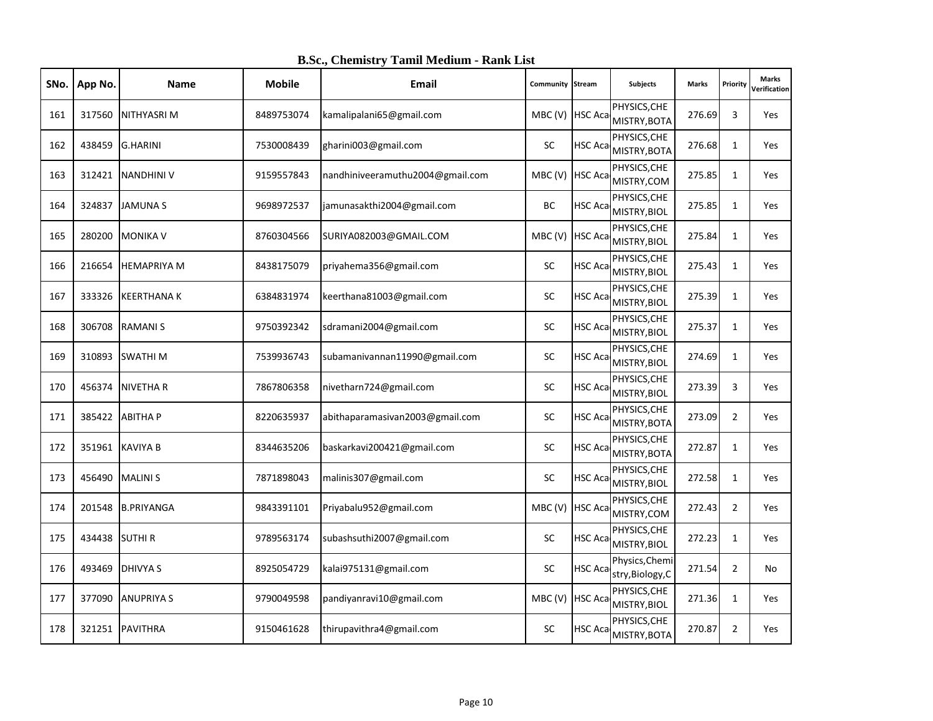| SNo. | App No. | Name               | <b>Mobile</b> | Email                            | <b>Community Stream</b> |                | Subjects                             | <b>Marks</b> | Priority       | <b>Marks</b><br>Verification |
|------|---------|--------------------|---------------|----------------------------------|-------------------------|----------------|--------------------------------------|--------------|----------------|------------------------------|
| 161  | 317560  | NITHYASRI M        | 8489753074    | kamalipalani65@gmail.com         | MBC (V) HSC Aca         |                | PHYSICS, CHE<br>MISTRY, BOTA         | 276.69       | 3              | Yes                          |
| 162  | 438459  | <b>G.HARINI</b>    | 7530008439    | gharini003@gmail.com             | SC                      | <b>HSC Aca</b> | PHYSICS, CHE<br>MISTRY, BOTA         | 276.68       | $\mathbf{1}$   | Yes                          |
| 163  |         | 312421 NANDHINI V  | 9159557843    | nandhiniveeramuthu2004@gmail.com | MBC (V) HSC Aca         |                | PHYSICS, CHE<br>MISTRY, COM          | 275.85       | $\mathbf{1}$   | Yes                          |
| 164  | 324837  | <b>JAMUNAS</b>     | 9698972537    | jamunasakthi2004@gmail.com       | ВC                      | <b>HSC Aca</b> | PHYSICS, CHE<br>MISTRY, BIOL         | 275.85       | $\mathbf{1}$   | Yes                          |
| 165  | 280200  | <b>MONIKA V</b>    | 8760304566    | SURIYA082003@GMAIL.COM           | MBC (V) HSC Aca         |                | PHYSICS, CHE<br>MISTRY, BIOL         | 275.84       | $\mathbf{1}$   | Yes                          |
| 166  | 216654  | <b>HEMAPRIYA M</b> | 8438175079    | priyahema356@gmail.com           | SC                      | HSC Aca        | PHYSICS, CHE<br>MISTRY, BIOL         | 275.43       | $\mathbf{1}$   | Yes                          |
| 167  | 333326  | <b>KEERTHANA K</b> | 6384831974    | keerthana81003@gmail.com         | SC                      | HSC Aca        | PHYSICS, CHE<br>MISTRY, BIOL         | 275.39       | $\mathbf{1}$   | <b>Yes</b>                   |
| 168  | 306708  | <b>RAMANIS</b>     | 9750392342    | sdramani2004@gmail.com           | SC                      | HSC Aca        | PHYSICS, CHE<br>MISTRY, BIOL         | 275.37       | $\mathbf{1}$   | Yes                          |
| 169  | 310893  | <b>SWATHIM</b>     | 7539936743    | subamanivannan11990@gmail.com    | SC                      | HSC Aca        | PHYSICS, CHE<br>MISTRY, BIOL         | 274.69       | $\mathbf{1}$   | Yes                          |
| 170  | 456374  | <b>NIVETHAR</b>    | 7867806358    | nivetharn724@gmail.com           | <b>SC</b>               | HSC Aca        | PHYSICS, CHE<br>MISTRY, BIOL         | 273.39       | 3              | <b>Yes</b>                   |
| 171  | 385422  | <b>ABITHAP</b>     | 8220635937    | abithaparamasivan2003@gmail.com  | SC                      | HSC Aca        | PHYSICS, CHE<br>MISTRY, BOTA         | 273.09       | $\overline{2}$ | Yes                          |
| 172  |         | 351961 KAVIYA B    | 8344635206    | baskarkavi200421@gmail.com       | SC                      | HSC Aca        | PHYSICS, CHE<br>MISTRY, BOTA         | 272.87       | $\mathbf{1}$   | <b>Yes</b>                   |
| 173  | 456490  | <b>MALINI S</b>    | 7871898043    | malinis307@gmail.com             | <b>SC</b>               | HSC Aca        | PHYSICS, CHE<br>MISTRY, BIOL         | 272.58       | $\mathbf{1}$   | Yes                          |
| 174  | 201548  | <b>B.PRIYANGA</b>  | 9843391101    | Priyabalu952@gmail.com           | MBC(V)                  | <b>HSC Aca</b> | PHYSICS, CHE<br>MISTRY, COM          | 272.43       | $\overline{2}$ | Yes                          |
| 175  |         | 434438 SUTHI R     | 9789563174    | subashsuthi2007@gmail.com        | <b>SC</b>               | HSC Aca        | PHYSICS, CHE<br>MISTRY, BIOL         | 272.23       | $\mathbf{1}$   | <b>Yes</b>                   |
| 176  | 493469  | <b>DHIVYA S</b>    | 8925054729    | kalai975131@gmail.com            | SC                      | HSC Aca        | Physics, Chemi<br>stry, Biology, C   | 271.54       | $\overline{2}$ | No                           |
| 177  | 377090  | <b>ANUPRIYA S</b>  | 9790049598    | pandiyanravi10@gmail.com         | MBC (V) HSC Aca         |                | PHYSICS, CHE<br>MISTRY, BIOL         | 271.36       | $\mathbf{1}$   | <b>Yes</b>                   |
| 178  |         | 321251 PAVITHRA    | 9150461628    | thirupavithra4@gmail.com         | <b>SC</b>               |                | PHYSICS, CHE<br>HSC Aca MISTRY, BOTA | 270.87       | $\overline{2}$ | Yes                          |

**B.Sc., Chemistry Tamil Medium - Rank List**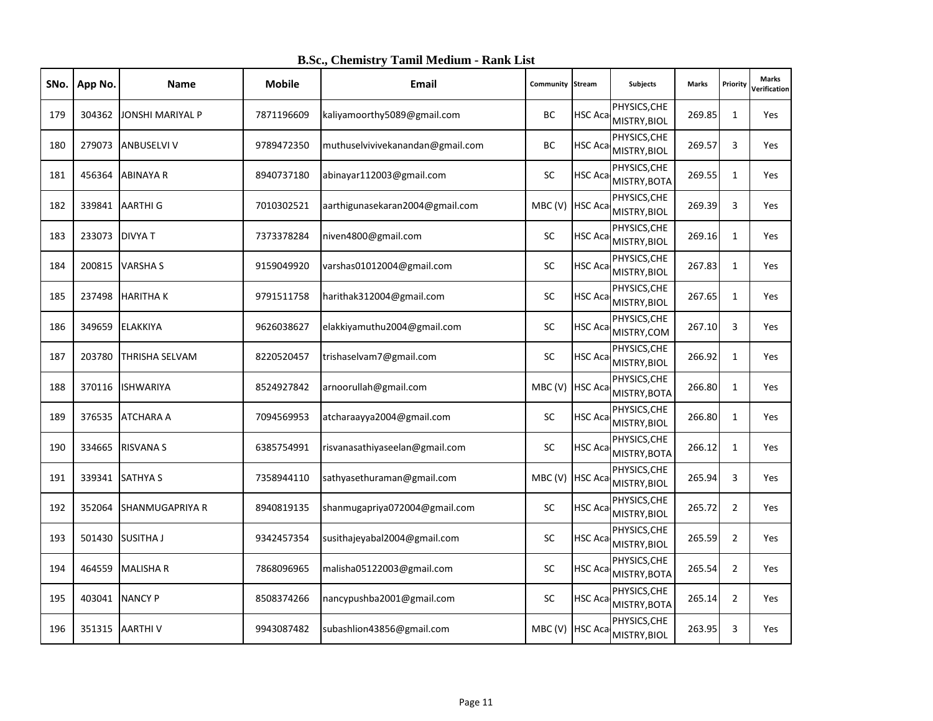| SNo. | App No. | Name                   | <b>Mobile</b> | <b>Email</b>                     | Community Stream |                | <b>Subjects</b>                              | <b>Marks</b> | Priority       | <b>Marks</b><br>Verification |
|------|---------|------------------------|---------------|----------------------------------|------------------|----------------|----------------------------------------------|--------------|----------------|------------------------------|
| 179  | 304362  | JONSHI MARIYAL P       | 7871196609    | kaliyamoorthy5089@gmail.com      | ВC               | <b>HSC Aca</b> | PHYSICS, CHE<br>MISTRY, BIOL                 | 269.85       | $\mathbf{1}$   | Yes                          |
| 180  | 279073  | <b>ANBUSELVI V</b>     | 9789472350    | muthuselvivivekanandan@gmail.com | ВC               | HSC Aca        | PHYSICS, CHE<br>MISTRY, BIOL                 | 269.57       | 3              | Yes                          |
| 181  | 456364  | <b>ABINAYA R</b>       | 8940737180    | abinayar112003@gmail.com         | <b>SC</b>        | <b>HSC Aca</b> | PHYSICS, CHE<br>MISTRY, BOTA                 | 269.55       | $\mathbf{1}$   | Yes                          |
| 182  | 339841  | <b>AARTHIG</b>         | 7010302521    | aarthigunasekaran2004@gmail.com  | MBC (V) HSC Ac   |                | PHYSICS, CHE<br>MISTRY, BIOL                 | 269.39       | 3              | Yes                          |
| 183  | 233073  | <b>DIVYAT</b>          | 7373378284    | niven4800@gmail.com              | SC               | HSC Aca        | PHYSICS, CHE<br>MISTRY, BIOL                 | 269.16       | $\mathbf{1}$   | Yes                          |
| 184  | 200815  | <b>VARSHAS</b>         | 9159049920    | varshas01012004@gmail.com        | <b>SC</b>        | HSC Aca        | PHYSICS, CHE<br>MISTRY, BIOL                 | 267.83       | $\mathbf{1}$   | Yes                          |
| 185  | 237498  | <b>HARITHAK</b>        | 9791511758    | harithak312004@gmail.com         | <b>SC</b>        | HSC Aca        | PHYSICS, CHE<br>MISTRY, BIOL                 | 267.65       | $\mathbf{1}$   | Yes                          |
| 186  | 349659  | <b>ELAKKIYA</b>        | 9626038627    | elakkiyamuthu2004@gmail.com      | <b>SC</b>        | <b>HSC Aca</b> | PHYSICS, CHE<br>MISTRY, COM                  | 267.10       | 3              | Yes                          |
| 187  | 203780  | THRISHA SELVAM         | 8220520457    | trishaselvam7@gmail.com          | <b>SC</b>        | HSC Aca        | PHYSICS, CHE<br>MISTRY, BIOL                 | 266.92       | $\mathbf{1}$   | Yes                          |
| 188  | 370116  | <b>ISHWARIYA</b>       | 8524927842    | arnoorullah@gmail.com            | MBC (V)          | <b>HSC Aca</b> | PHYSICS, CHE<br>MISTRY, BOTA                 | 266.80       | $\mathbf{1}$   | <b>Yes</b>                   |
| 189  | 376535  | <b>ATCHARA A</b>       | 7094569953    | atcharaayya2004@gmail.com        | <b>SC</b>        | HSC Aca        | PHYSICS, CHE<br>MISTRY, BIOL                 | 266.80       | $\mathbf{1}$   | Yes                          |
| 190  | 334665  | <b>RISVANA S</b>       | 6385754991    | risvanasathiyaseelan@gmail.com   | SC               | HSC Aca        | PHYSICS, CHE<br>MISTRY, BOTA                 | 266.12       | $\mathbf{1}$   | <b>Yes</b>                   |
| 191  | 339341  | <b>SATHYA S</b>        | 7358944110    | sathyasethuraman@gmail.com       | MBC (V)          | <b>HSC Aca</b> | PHYSICS, CHE<br>MISTRY, BIOL                 | 265.94       | 3              | Yes                          |
| 192  | 352064  | <b>SHANMUGAPRIYA R</b> | 8940819135    | shanmugapriya072004@gmail.com    | SC               | HSC Aca        | PHYSICS, CHE<br>MISTRY, BIOL                 | 265.72       | $\overline{2}$ | Yes                          |
| 193  | 501430  | <b>SUSITHA J</b>       | 9342457354    | susithajeyabal2004@gmail.com     | <b>SC</b>        | HSC Aca        | PHYSICS, CHE<br>MISTRY, BIOL                 | 265.59       | $\overline{2}$ | <b>Yes</b>                   |
| 194  | 464559  | <b>MALISHAR</b>        | 7868096965    | malisha05122003@gmail.com        | <b>SC</b>        |                | PHYSICS, CHE<br>HSC Aca MISTRY, BOTA         | 265.54       | $\overline{2}$ | Yes                          |
| 195  | 403041  | <b>NANCY P</b>         | 8508374266    | nancypushba2001@gmail.com        | <b>SC</b>        | HSC Aca        | PHYSICS, CHE<br>MISTRY, BOTA                 | 265.14       | $\overline{2}$ | Yes                          |
| 196  | 351315  | <b>AARTHIV</b>         | 9943087482    | subashlion43856@gmail.com        |                  |                | PHYSICS, CHE<br>MBC (V) HSC Aca MISTRY, BIOL | 263.95       | 3              | Yes                          |

**B.Sc., Chemistry Tamil Medium - Rank List**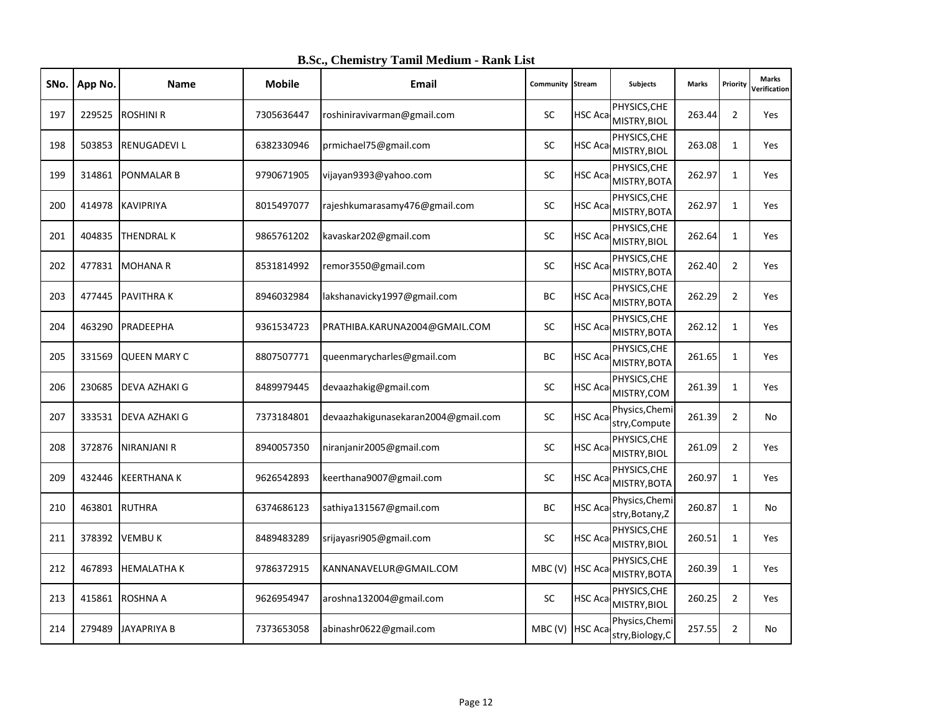| SNo. | App No. | <b>Name</b>          | <b>Mobile</b> | <b>Email</b>                        | Community Stream |                | Subjects                           | <b>Marks</b> | Priority       | <b>Marks</b><br>Verification |
|------|---------|----------------------|---------------|-------------------------------------|------------------|----------------|------------------------------------|--------------|----------------|------------------------------|
| 197  | 229525  | <b>ROSHINI R</b>     | 7305636447    | roshiniravivarman@gmail.com         | <b>SC</b>        | <b>HSC Aca</b> | PHYSICS, CHE<br>MISTRY, BIOL       | 263.44       | $\overline{2}$ | Yes                          |
| 198  | 503853  | <b>RENUGADEVIL</b>   | 6382330946    | prmichael75@gmail.com               | SC               | <b>HSC Aca</b> | PHYSICS, CHE<br>MISTRY, BIOL       | 263.08       | $\mathbf{1}$   | Yes                          |
| 199  | 314861  | <b>PONMALAR B</b>    | 9790671905    | vijayan9393@yahoo.com               | <b>SC</b>        | HSC Aca        | PHYSICS, CHE<br>MISTRY, BOTA       | 262.97       | $\mathbf{1}$   | Yes                          |
| 200  | 414978  | <b>KAVIPRIYA</b>     | 8015497077    | rajeshkumarasamy476@gmail.com       | SC               | HSC Aca        | PHYSICS, CHE<br>MISTRY, BOTA       | 262.97       | $\mathbf{1}$   | Yes                          |
| 201  | 404835  | <b>THENDRAL K</b>    | 9865761202    | kavaskar202@gmail.com               | <b>SC</b>        | HSC Aca        | PHYSICS, CHE<br>MISTRY, BIOL       | 262.64       | $\mathbf{1}$   | Yes                          |
| 202  | 477831  | <b>MOHANA R</b>      | 8531814992    | remor3550@gmail.com                 | SC               | HSC Aca        | PHYSICS, CHE<br>MISTRY, BOTA       | 262.40       | $\overline{2}$ | Yes                          |
| 203  | 477445  | <b>PAVITHRAK</b>     | 8946032984    | lakshanavicky1997@gmail.com         | <b>BC</b>        | HSC Aca        | PHYSICS, CHE<br>MISTRY, BOTA       | 262.29       | $\overline{2}$ | Yes                          |
| 204  | 463290  | PRADEEPHA            | 9361534723    | PRATHIBA.KARUNA2004@GMAIL.COM       | <b>SC</b>        | HSC Aca        | PHYSICS, CHE<br>MISTRY, BOTA       | 262.12       | $\mathbf{1}$   | <b>Yes</b>                   |
| 205  | 331569  | <b>QUEEN MARY C</b>  | 8807507771    | queenmarycharles@gmail.com          | <b>BC</b>        | HSC Aca        | PHYSICS, CHE<br>MISTRY, BOTA       | 261.65       | $\mathbf{1}$   | <b>Yes</b>                   |
| 206  | 230685  | DEVA AZHAKI G        | 8489979445    | devaazhakig@gmail.com               | SC               | HSC Aca        | PHYSICS, CHE<br>MISTRY, COM        | 261.39       | $\mathbf{1}$   | Yes                          |
| 207  | 333531  | <b>DEVA AZHAKI G</b> | 7373184801    | devaazhakigunasekaran2004@gmail.com | SC               | HSC Aca        | Physics, Chemi<br>stry, Compute    | 261.39       | $\overline{2}$ | No                           |
| 208  | 372876  | <b>NIRANJANI R</b>   | 8940057350    | niranjanir2005@gmail.com            | <b>SC</b>        | HSC Aca        | PHYSICS, CHE<br>MISTRY, BIOL       | 261.09       | $\overline{2}$ | Yes                          |
| 209  | 432446  | <b>KEERTHANAK</b>    | 9626542893    | keerthana9007@gmail.com             | SC               | HSC Aca        | PHYSICS, CHE<br>MISTRY, BOTA       | 260.97       | $\mathbf{1}$   | <b>Yes</b>                   |
| 210  | 463801  | <b>RUTHRA</b>        | 6374686123    | sathiya131567@gmail.com             | BC               | HSC Aca        | Physics, Chemi<br>stry, Botany, Z  | 260.87       | $\mathbf{1}$   | No                           |
| 211  | 378392  | <b>VEMBUK</b>        | 8489483289    | srijayasri905@gmail.com             | <b>SC</b>        | HSC Aca        | PHYSICS, CHE<br>MISTRY, BIOL       | 260.51       | $\mathbf{1}$   | <b>Yes</b>                   |
| 212  | 467893  | <b>HEMALATHAK</b>    | 9786372915    | KANNANAVELUR@GMAIL.COM              | MBC (V) HSC Aca  |                | PHYSICS, CHE<br>MISTRY, BOTA       | 260.39       | $\mathbf{1}$   | Yes                          |
| 213  | 415861  | <b>ROSHNA A</b>      | 9626954947    | aroshna132004@gmail.com             | <b>SC</b>        | HSC Aca        | PHYSICS, CHE<br>MISTRY, BIOL       | 260.25       | $\overline{2}$ | Yes                          |
| 214  | 279489  | <b>JAYAPRIYA B</b>   | 7373653058    | abinashr0622@gmail.com              | MBC (V) HSC Aca  |                | Physics, Chemi<br>stry, Biology, C | 257.55       | $\overline{2}$ | No                           |

**B.Sc., Chemistry Tamil Medium - Rank List**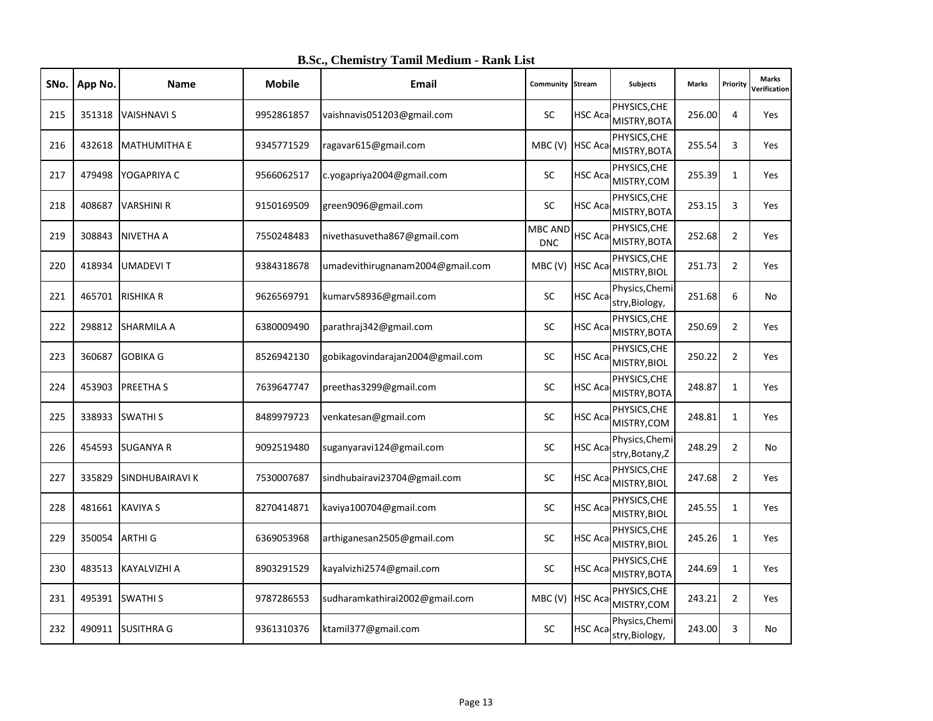| SNo. | App No. | <b>Name</b>         | <b>Mobile</b> | <b>Email</b>                     | Community Stream             |                 | Subjects                             | <b>Marks</b> | Priority       | <b>Marks</b><br>Verification |
|------|---------|---------------------|---------------|----------------------------------|------------------------------|-----------------|--------------------------------------|--------------|----------------|------------------------------|
| 215  | 351318  | <b>VAISHNAVI S</b>  | 9952861857    | vaishnavis051203@gmail.com       | SC                           | <b>HSC Aca</b>  | PHYSICS, CHE<br>MISTRY, BOTA         | 256.00       | 4              | Yes                          |
| 216  | 432618  | <b>MATHUMITHA E</b> | 9345771529    | ragavar615@gmail.com             | MBC (V) HSC Aca              |                 | PHYSICS, CHE<br>MISTRY, BOTA         | 255.54       | 3              | Yes                          |
| 217  | 479498  | YOGAPRIYA C         | 9566062517    | c.yogapriya2004@gmail.com        | <b>SC</b>                    | <b>HSC Aca</b>  | PHYSICS, CHE<br>MISTRY, COM          | 255.39       | $\mathbf{1}$   | <b>Yes</b>                   |
| 218  | 408687  | <b>VARSHINI R</b>   | 9150169509    | green9096@gmail.com              | <b>SC</b>                    | <b>HSC Aca</b>  | PHYSICS, CHE<br>MISTRY, BOTA         | 253.15       | 3              | Yes                          |
| 219  | 308843  | <b>NIVETHA A</b>    | 7550248483    | nivethasuvetha867@gmail.com      | <b>MBC AND</b><br><b>DNC</b> | HSC Aca         | PHYSICS, CHE<br>MISTRY, BOTA         | 252.68       | $\overline{2}$ | Yes                          |
| 220  | 418934  | <b>UMADEVIT</b>     | 9384318678    | umadevithirugnanam2004@gmail.com | MBC (V) HSC Aca              |                 | PHYSICS, CHE<br>MISTRY, BIOL         | 251.73       | $\overline{2}$ | Yes                          |
| 221  | 465701  | <b>RISHIKA R</b>    | 9626569791    | kumarv58936@gmail.com            | SC                           | HSC Aca         | Physics, Chemi<br>stry, Biology,     | 251.68       | 6              | No                           |
| 222  | 298812  | <b>SHARMILA A</b>   | 6380009490    | parathraj342@gmail.com           | <b>SC</b>                    | HSC Aca         | PHYSICS, CHE<br>MISTRY, BOTA         | 250.69       | $\overline{2}$ | Yes                          |
| 223  | 360687  | <b>GOBIKA G</b>     | 8526942130    | gobikagovindarajan2004@gmail.com | <b>SC</b>                    | HSC Aca         | PHYSICS, CHE<br>MISTRY, BIOL         | 250.22       | $\overline{2}$ | Yes                          |
| 224  | 453903  | PREETHA S           | 7639647747    | preethas3299@gmail.com           | <b>SC</b>                    | HSC Aca         | PHYSICS, CHE<br>MISTRY, BOTA         | 248.87       | $\mathbf{1}$   | <b>Yes</b>                   |
| 225  | 338933  | <b>SWATHIS</b>      | 8489979723    | venkatesan@gmail.com             | <b>SC</b>                    | HSC Aca         | PHYSICS, CHE<br>MISTRY, COM          | 248.81       | $\mathbf{1}$   | Yes                          |
| 226  | 454593  | <b>SUGANYA R</b>    | 9092519480    | suganyaravi124@gmail.com         | SC                           | HSC Aca         | Physics, Chemi<br>stry, Botany, Z    | 248.29       | $\overline{2}$ | No                           |
| 227  | 335829  | SINDHUBAIRAVI K     | 7530007687    | sindhubairavi23704@gmail.com     | <b>SC</b>                    | HSC Aca         | PHYSICS, CHE<br>MISTRY, BIOL         | 247.68       | $\overline{2}$ | Yes                          |
| 228  | 481661  | <b>KAVIYA S</b>     | 8270414871    | kaviya100704@gmail.com           | SC                           | HSC Aca         | PHYSICS, CHE<br>MISTRY, BIOL         | 245.55       | 1              | Yes                          |
| 229  | 350054  | <b>ARTHI G</b>      | 6369053968    | arthiganesan2505@gmail.com       | SC                           | HSC Aca         | PHYSICS, CHE<br>MISTRY, BIOL         | 245.26       | $\mathbf{1}$   | <b>Yes</b>                   |
| 230  | 483513  | <b>KAYALVIZHI A</b> | 8903291529    | kayalvizhi2574@gmail.com         | <b>SC</b>                    |                 | PHYSICS, CHE<br>HSC Aca MISTRY, BOTA | 244.69       | $\mathbf{1}$   | Yes                          |
| 231  | 495391  | <b>SWATHIS</b>      | 9787286553    | sudharamkathirai2002@gmail.com   | MBC (V) HSC Aca              |                 | PHYSICS, CHE<br>MISTRY, COM          | 243.21       | $\overline{2}$ | <b>Yes</b>                   |
| 232  | 490911  | <b>SUSITHRA G</b>   | 9361310376    | ktamil377@gmail.com              | <b>SC</b>                    | <b>HSC Acal</b> | Physics, Chemi<br>stry, Biology,     | 243.00       | 3              | No                           |

**B.Sc., Chemistry Tamil Medium - Rank List**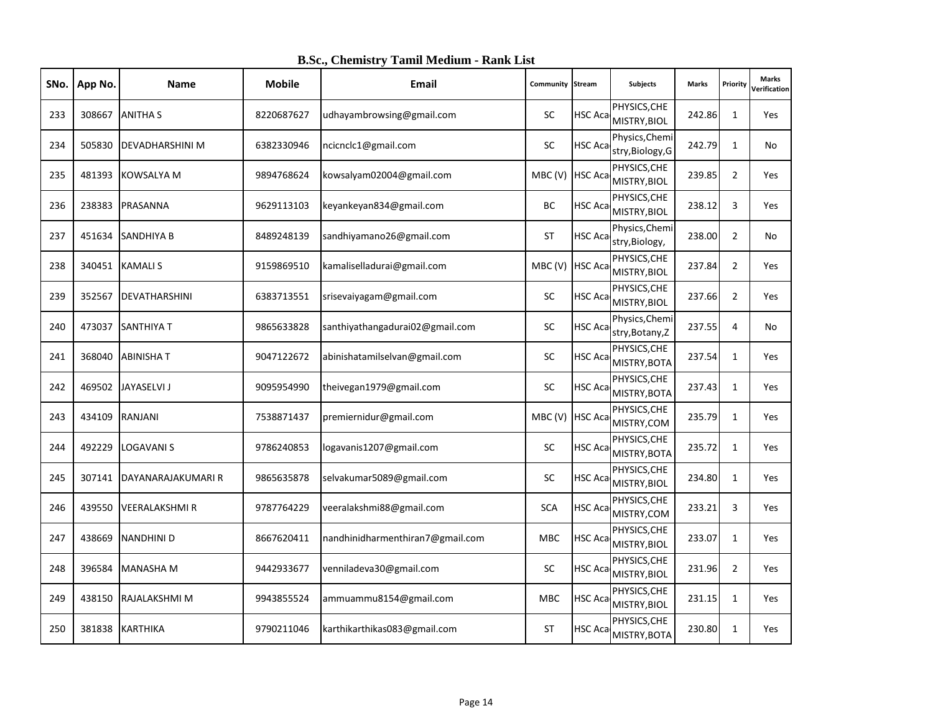| SNo. | App No. | <b>Name</b>            | <b>Mobile</b> | <b>Email</b>                     | Community Stream |                | Subjects                             | <b>Marks</b> | Priority       | <b>Marks</b><br>Verification |
|------|---------|------------------------|---------------|----------------------------------|------------------|----------------|--------------------------------------|--------------|----------------|------------------------------|
| 233  | 308667  | <b>ANITHA S</b>        | 8220687627    | udhayambrowsing@gmail.com        | SC               | <b>HSC Aca</b> | PHYSICS, CHE<br>MISTRY, BIOL         | 242.86       | $\mathbf{1}$   | Yes                          |
| 234  | 505830  | <b>DEVADHARSHINI M</b> | 6382330946    | ncicnclc1@gmail.com              | SC               | <b>HSC Aca</b> | Physics, Chemi<br>stry, Biology, G   | 242.79       | $\mathbf{1}$   | No.                          |
| 235  | 481393  | <b>KOWSALYA M</b>      | 9894768624    | kowsalyam02004@gmail.com         | MBC (V) HSC Aca  |                | PHYSICS, CHE<br>MISTRY, BIOL         | 239.85       | $\overline{2}$ | <b>Yes</b>                   |
| 236  | 238383  | PRASANNA               | 9629113103    | keyankeyan834@gmail.com          | BC               | <b>HSC Aca</b> | PHYSICS, CHE<br>MISTRY, BIOL         | 238.12       | 3              | Yes                          |
| 237  | 451634  | <b>SANDHIYA B</b>      | 8489248139    | sandhiyamano26@gmail.com         | <b>ST</b>        | <b>HSC Aca</b> | Physics, Chemi<br>stry, Biology,     | 238.00       | $\overline{2}$ | No                           |
| 238  | 340451  | <b>KAMALIS</b>         | 9159869510    | kamaliselladurai@gmail.com       | MBC (V) HSC Aca  |                | PHYSICS, CHE<br>MISTRY, BIOL         | 237.84       | $\overline{2}$ | Yes                          |
| 239  | 352567  | <b>DEVATHARSHINI</b>   | 6383713551    | srisevaiyagam@gmail.com          | SC               | HSC Aca        | PHYSICS, CHE<br>MISTRY, BIOL         | 237.66       | $\overline{2}$ | <b>Yes</b>                   |
| 240  | 473037  | <b>SANTHIYA T</b>      | 9865633828    | santhiyathangadurai02@gmail.com  | <b>SC</b>        | <b>HSC Aca</b> | Physics, Chemi<br>stry, Botany, Z    | 237.55       | 4              | No                           |
| 241  | 368040  | <b>ABINISHAT</b>       | 9047122672    | abinishatamilselvan@gmail.com    | <b>SC</b>        | HSC Aca        | PHYSICS, CHE<br>MISTRY, BOTA         | 237.54       | $\mathbf{1}$   | Yes                          |
| 242  | 469502  | <b>JAYASELVI J</b>     | 9095954990    | theivegan1979@gmail.com          | <b>SC</b>        | HSC Aca        | PHYSICS, CHE<br>MISTRY, BOTA         | 237.43       | $\mathbf{1}$   | <b>Yes</b>                   |
| 243  | 434109  | <b>RANJANI</b>         | 7538871437    | premiernidur@gmail.com           | MBC(V)           | <b>HSC Aca</b> | PHYSICS, CHE<br>MISTRY, COM          | 235.79       | $\mathbf{1}$   | Yes                          |
| 244  | 492229  | <b>LOGAVANIS</b>       | 9786240853    | logavanis1207@gmail.com          | SC               | HSC Aca        | PHYSICS, CHE<br>MISTRY, BOTA         | 235.72       | $\mathbf{1}$   | <b>Yes</b>                   |
| 245  | 307141  | DAYANARAJAKUMARI R     | 9865635878    | selvakumar5089@gmail.com         | <b>SC</b>        | HSC Aca        | PHYSICS, CHE<br>MISTRY, BIOL         | 234.80       | $\mathbf{1}$   | Yes                          |
| 246  | 439550  | VEERALAKSHMI R         | 9787764229    | veeralakshmi88@gmail.com         | <b>SCA</b>       | HSC Aca        | PHYSICS, CHE<br>MISTRY, COM          | 233.21       | $\overline{3}$ | Yes                          |
| 247  | 438669  | <b>NANDHINI D</b>      | 8667620411    | nandhinidharmenthiran7@gmail.com | <b>MBC</b>       | HSC Aca        | PHYSICS, CHE<br>MISTRY, BIOL         | 233.07       | $\mathbf{1}$   | <b>Yes</b>                   |
| 248  | 396584  | <b>MANASHA M</b>       | 9442933677    | venniladeva30@gmail.com          | <b>SC</b>        |                | PHYSICS, CHE<br>HSC Aca MISTRY, BIOL | 231.96       | $\overline{2}$ | Yes                          |
| 249  | 438150  | RAJALAKSHMI M          | 9943855524    | ammuammu8154@gmail.com           | <b>MBC</b>       | HSC Aca        | PHYSICS, CHE<br>MISTRY, BIOL         | 231.15       | $\mathbf{1}$   | <b>Yes</b>                   |
| 250  | 381838  | <b>KARTHIKA</b>        | 9790211046    | karthikarthikas083@gmail.com     | ST               |                | PHYSICS, CHE<br>HSC Aca MISTRY, BOTA | 230.80       | $\mathbf{1}$   | Yes                          |

**B.Sc., Chemistry Tamil Medium - Rank List**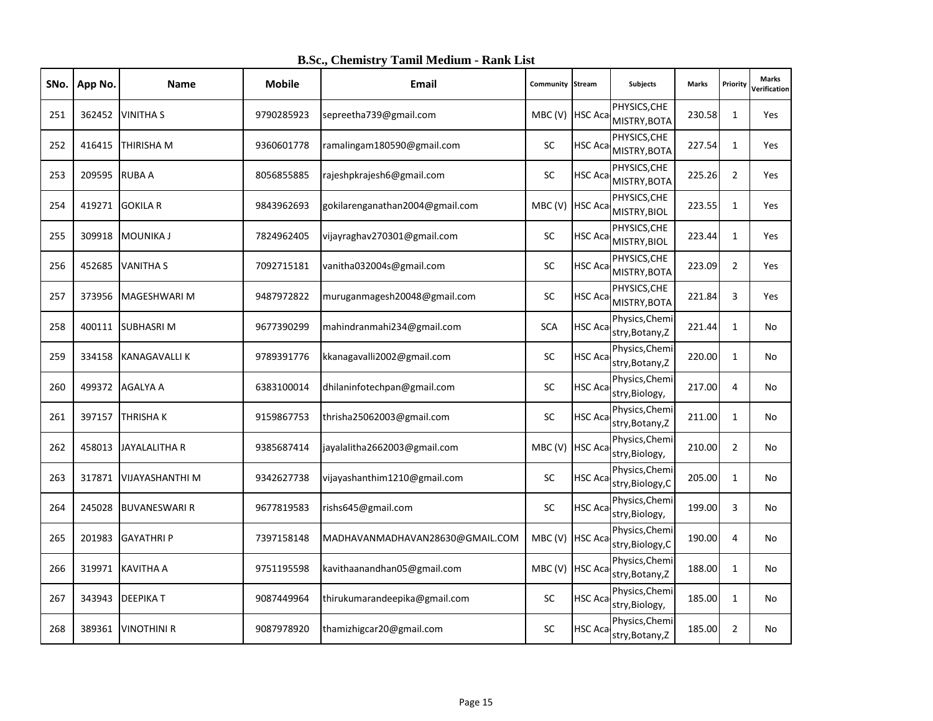| SNo. | App No. | <b>Name</b>          | <b>Mobile</b> | Email                           | <b>Community Stream</b> |                | Subjects                           | <b>Marks</b> | Priority       | <b>Marks</b><br>Verification |
|------|---------|----------------------|---------------|---------------------------------|-------------------------|----------------|------------------------------------|--------------|----------------|------------------------------|
| 251  | 362452  | <b>VINITHA S</b>     | 9790285923    | sepreetha739@gmail.com          | MBC (V) HSC Aca         |                | PHYSICS, CHE<br>MISTRY, BOTA       | 230.58       | $\mathbf{1}$   | Yes                          |
| 252  | 416415  | <b>THIRISHA M</b>    | 9360601778    | ramalingam180590@gmail.com      | SC                      | HSC Aca        | PHYSICS, CHE<br>MISTRY, BOTA       | 227.54       | $\mathbf{1}$   | Yes                          |
| 253  | 209595  | RUBA A               | 8056855885    | rajeshpkrajesh6@gmail.com       | <b>SC</b>               | HSC Aca        | PHYSICS, CHE<br>MISTRY, BOTA       | 225.26       | $\overline{2}$ | <b>Yes</b>                   |
| 254  |         | 419271 GOKILA R      | 9843962693    | gokilarenganathan2004@gmail.com | MBC (V) HSC Aca         |                | PHYSICS, CHE<br>MISTRY, BIOL       | 223.55       | $\mathbf{1}$   | Yes                          |
| 255  | 309918  | <b>MOUNIKA J</b>     | 7824962405    | vijayraghav270301@gmail.com     | SC                      | HSC Aca        | PHYSICS, CHE<br>MISTRY, BIOL       | 223.44       | $\mathbf{1}$   | Yes                          |
| 256  | 452685  | <b>VANITHA S</b>     | 7092715181    | vanitha032004s@gmail.com        | SC                      | HSC Aca        | PHYSICS, CHE<br>MISTRY, BOTA       | 223.09       | $\overline{2}$ | Yes                          |
| 257  | 373956  | MAGESHWARI M         | 9487972822    | muruganmagesh20048@gmail.com    | SC                      | HSC Aca        | PHYSICS, CHE<br>MISTRY, BOTA       | 221.84       | $\overline{3}$ | <b>Yes</b>                   |
| 258  | 400111  | <b>SUBHASRIM</b>     | 9677390299    | mahindranmahi234@gmail.com      | <b>SCA</b>              | HSC Aca        | Physics, Chemi<br>stry, Botany, Z  | 221.44       | $\mathbf{1}$   | No                           |
| 259  | 334158  | <b>KANAGAVALLIK</b>  | 9789391776    | kkanagavalli2002@gmail.com      | SC                      | HSC Aca        | Physics, Chemi<br>stry, Botany, Z  | 220.00       | $\mathbf{1}$   | No                           |
| 260  | 499372  | <b>AGALYA A</b>      | 6383100014    | dhilaninfotechpan@gmail.com     | <b>SC</b>               | HSC Aca        | Physics, Chemi<br>stry, Biology,   | 217.00       | 4              | No                           |
| 261  | 397157  | <b>THRISHAK</b>      | 9159867753    | thrisha25062003@gmail.com       | SC                      | HSC Aca        | Physics, Chemi<br>stry, Botany, Z  | 211.00       | $\mathbf{1}$   | No                           |
| 262  | 458013  | JAYALALITHA R        | 9385687414    | jayalalitha2662003@gmail.com    | MBC(V)                  | <b>HSC Aca</b> | Physics, Chemi<br>stry, Biology,   | 210.00       | $\overline{2}$ | No                           |
| 263  | 317871  | VIJAYASHANTHI M      | 9342627738    | vijayashanthim1210@gmail.com    | SC                      | HSC Aca        | Physics, Chemi<br>stry, Biology, C | 205.00       | $\mathbf{1}$   | No                           |
| 264  | 245028  | <b>BUVANESWARI R</b> | 9677819583    | rishs645@gmail.com              | SC                      | HSC Aca        | Physics, Chemi<br>stry, Biology,   | 199.00       | 3              | No                           |
| 265  | 201983  | <b>GAYATHRI P</b>    | 7397158148    | MADHAVANMADHAVAN28630@GMAIL.COM | MBC (V) HSC Aca         |                | Physics, Chemi<br>stry, Biology, C | 190.00       | 4              | No                           |
| 266  | 319971  | <b>KAVITHA A</b>     | 9751195598    | kavithaanandhan05@gmail.com     | MBC (V) HSC Aca         |                | Physics, Chemi<br>stry, Botany, Z  | 188.00       | $\mathbf{1}$   | No                           |
| 267  | 343943  | <b>DEEPIKAT</b>      | 9087449964    | thirukumarandeepika@gmail.com   | SC                      | HSC Aca        | Physics, Chemi<br>stry, Biology,   | 185.00       | $\mathbf{1}$   | No                           |
| 268  | 389361  | <b>VINOTHINI R</b>   | 9087978920    | thamizhigcar20@gmail.com        | <b>SC</b>               | HSC Aca        | Physics, Chemi<br>stry, Botany, Z  | 185.00       | $\overline{2}$ | No                           |

**B.Sc., Chemistry Tamil Medium - Rank List**